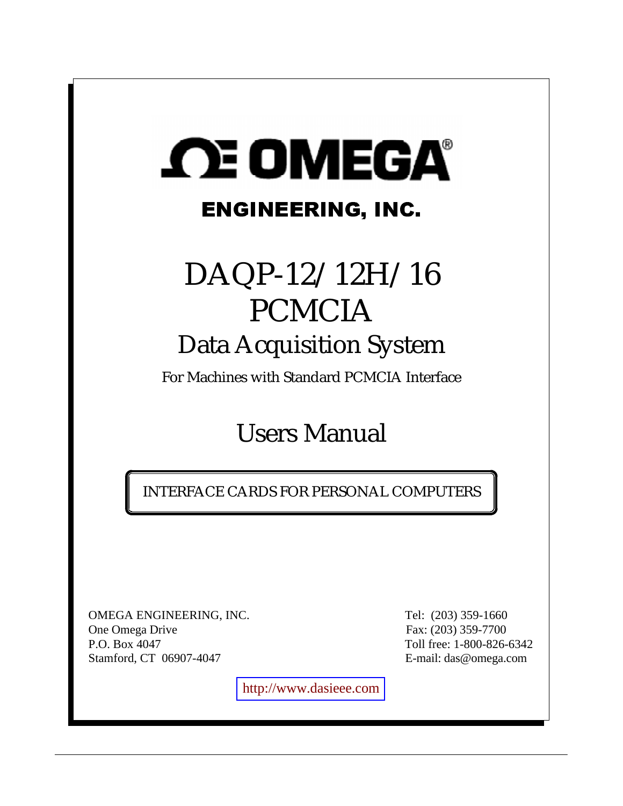# **SCE OMEGA®** ENGINEERING, INC.

# DAQP-12/12H/16 PCMCIA Data Acquisition System

For Machines with Standard PCMCIA Interface

# Users Manual

INTERFACE CARDS FOR PERSONAL COMPUTERS

OMEGA ENGINEERING, INC. Tel: (203) 359-1660 One Omega Drive Fax: (203) 359-7700 P.O. Box 4047 Toll free: 1-800-826-6342 Stamford, CT 06907-4047 E-mail: das@omega.com

[http://www.dasieee.com](http://www.dasieee.com/)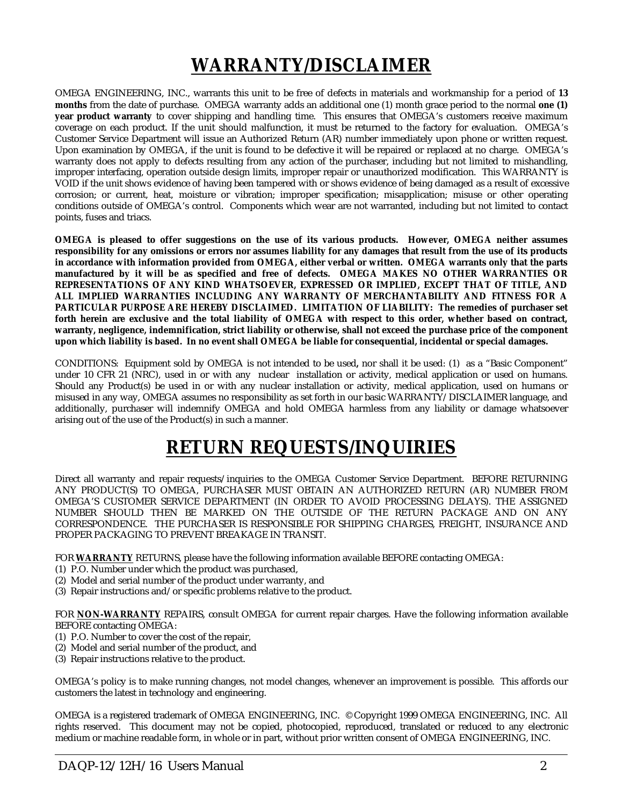# **WARRANTY/DISCLAIMER**

OMEGA ENGINEERING, INC., warrants this unit to be free of defects in materials and workmanship for a period of **13 months** from the date of purchase. OMEGA warranty adds an additional one (1) month grace period to the normal **one (1) year product warranty** to cover shipping and handling time. This ensures that OMEGA's customers receive maximum coverage on each product. If the unit should malfunction, it must be returned to the factory for evaluation. OMEGA's Customer Service Department will issue an Authorized Return (AR) number immediately upon phone or written request. Upon examination by OMEGA, if the unit is found to be defective it will be repaired or replaced at no charge. OMEGA's warranty does not apply to defects resulting from any action of the purchaser, including but not limited to mishandling, improper interfacing, operation outside design limits, improper repair or unauthorized modification. This WARRANTY is VOID if the unit shows evidence of having been tampered with or shows evidence of being damaged as a result of excessive corrosion; or current, heat, moisture or vibration; improper specification; misapplication; misuse or other operating conditions outside of OMEGA's control. Components which wear are not warranted, including but not limited to contact points, fuses and triacs.

**OMEGA is pleased to offer suggestions on the use of its various products. However, OMEGA neither assumes responsibility for any omissions or errors nor assumes liability for any damages that result from the use of its products in accordance with information provided from OMEGA, either verbal or written. OMEGA warrants only that the parts manufactured by it will be as specified and free of defects. OMEGA MAKES NO OTHER WARRANTIES OR REPRESENTATIONS OF ANY KIND WHATSOEVER, EXPRESSED OR IMPLIED, EXCEPT THAT OF TITLE, AND ALL IMPLIED WARRANTIES INCLUDING ANY WARRANTY OF MERCHANTABILITY AND FITNESS FOR A PARTICULAR PURPOSE ARE HEREBY DISCLAIMED. LIMITATION OF LIABILITY: The remedies of purchaser set forth herein are exclusive and the total liability of OMEGA with respect to this order, whether based on contract, warranty, negligence, indemnification, strict liability or otherwise, shall not exceed the purchase price of the component upon which liability is based. In no event shall OMEGA be liable for consequential, incidental or special damages.**

CONDITIONS: Equipment sold by OMEGA is not intended to be used**,** nor shall it be used: (1) as a "Basic Component" under 10 CFR 21 (NRC), used in or with any nuclear installation or activity, medical application or used on humans. Should any Product(s) be used in or with any nuclear installation or activity, medical application, used on humans or misused in any way, OMEGA assumes no responsibility as set forth in our basic WARRANTY/DISCLAIMER language, and additionally, purchaser will indemnify OMEGA and hold OMEGA harmless from any liability or damage whatsoever arising out of the use of the Product(s) in such a manner.

# **RETURN REQUESTS/INQUIRIES**

Direct all warranty and repair requests/inquiries to the OMEGA Customer Service Department. BEFORE RETURNING ANY PRODUCT(S) TO OMEGA, PURCHASER MUST OBTAIN AN AUTHORIZED RETURN (AR) NUMBER FROM OMEGA'S CUSTOMER SERVICE DEPARTMENT (IN ORDER TO AVOID PROCESSING DELAYS). THE ASSIGNED NUMBER SHOULD THEN BE MARKED ON THE OUTSIDE OF THE RETURN PACKAGE AND ON ANY CORRESPONDENCE. THE PURCHASER IS RESPONSIBLE FOR SHIPPING CHARGES, FREIGHT, INSURANCE AND PROPER PACKAGING TO PREVENT BREAKAGE IN TRANSIT.

FOR **WARRANTY** RETURNS, please have the following information available BEFORE contacting OMEGA:

- (1) P.O. Number under which the product was purchased,
- (2) Model and serial number of the product under warranty, and
- (3) Repair instructions and/or specific problems relative to the product.

FOR **NON-WARRANTY** REPAIRS, consult OMEGA for current repair charges. Have the following information available BEFORE contacting OMEGA:

- (1) P.O. Number to cover the cost of the repair,
- (2) Model and serial number of the product, and
- (3) Repair instructions relative to the product.

OMEGA's policy is to make running changes, not model changes, whenever an improvement is possible. This affords our customers the latest in technology and engineering.

OMEGA is a registered trademark of OMEGA ENGINEERING, INC. © Copyright 1999 OMEGA ENGINEERING, INC. All rights reserved. This document may not be copied, photocopied, reproduced, translated or reduced to any electronic medium or machine readable form, in whole or in part, without prior written consent of OMEGA ENGINEERING, INC.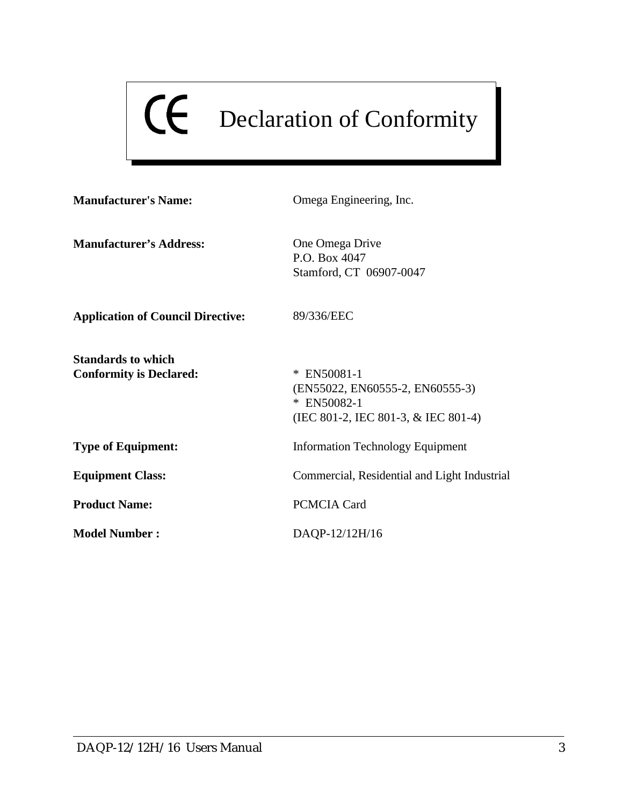# Declaration of Conformity

| <b>Manufacturer's Name:</b>                                 | Omega Engineering, Inc.                                                                                |
|-------------------------------------------------------------|--------------------------------------------------------------------------------------------------------|
| <b>Manufacturer's Address:</b>                              | One Omega Drive<br>P.O. Box 4047<br>Stamford, CT 06907-0047                                            |
| <b>Application of Council Directive:</b>                    | 89/336/EEC                                                                                             |
| <b>Standards to which</b><br><b>Conformity is Declared:</b> | $*$ EN50081-1<br>(EN55022, EN60555-2, EN60555-3)<br>* EN50082-1<br>(IEC 801-2, IEC 801-3, & IEC 801-4) |
| <b>Type of Equipment:</b>                                   | <b>Information Technology Equipment</b>                                                                |
| <b>Equipment Class:</b>                                     | Commercial, Residential and Light Industrial                                                           |
| <b>Product Name:</b>                                        | <b>PCMCIA Card</b>                                                                                     |
| <b>Model Number:</b>                                        | DAQP-12/12H/16                                                                                         |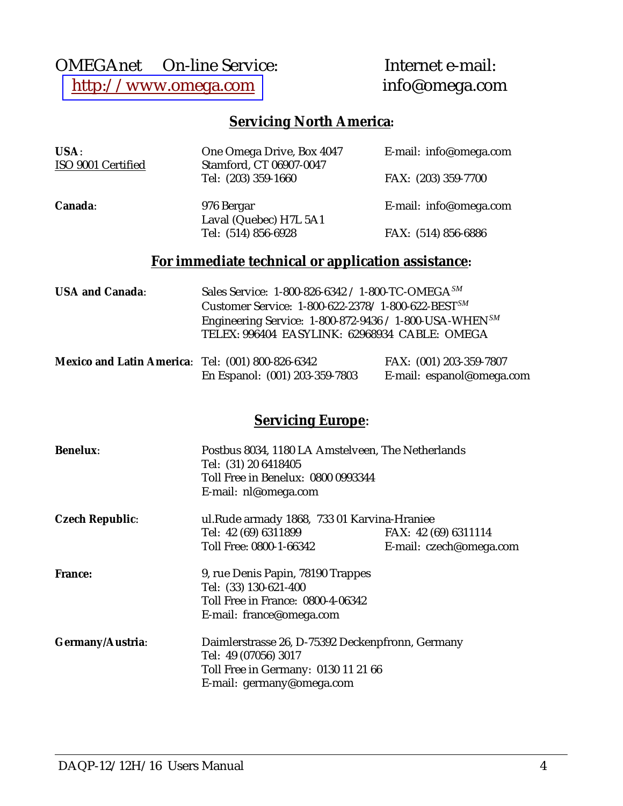# OMEGAnet<br>
© On-line Service: Internet e-mail:<br>
http://www.omega.com<br>
info@omega.com [http://www.omega.com](http://www.omega.com/)

# **Servicing North America:**

| USA:<br>ISO 9001 Certified | One Omega Drive, Box 4047<br>Stamford, CT 06907-0047         | E-mail: info@omega.com |
|----------------------------|--------------------------------------------------------------|------------------------|
|                            | Tel: (203) 359-1660                                          | FAX: (203) 359-7700    |
| Canada:                    | 976 Bergar<br>Laval (Quebec) H7L 5A1                         | E-mail: info@omega.com |
|                            | Tel: (514) 856-6928                                          | FAX: (514) 856-6886    |
|                            | For immediate technical or application assistance:           |                        |
| <b>USA and Canada:</b>     | Sales Service: 1-800-826-6342 / 1-800-TC-OMEGA <sup>SM</sup> |                        |

| <b>USA and Canada:</b> | Sales Service: 1-800-826-6342 / 1-800-TC-OMEGA $^{5M}$                |
|------------------------|-----------------------------------------------------------------------|
|                        | Customer Service: 1-800-622-2378/1-800-622-BEST <sup>SM</sup>         |
|                        | Engineering Service: $1-800-872-9436 / 1-800$ -USA-WHEN <sup>SM</sup> |
|                        | TELEX: 996404 EASYLINK: 62968934 CABLE: OMEGA                         |
|                        |                                                                       |

| Mexico and Latin America: Tel: (001) 800-826-6342 |                                | FAX: (001) 203-359-7807   |
|---------------------------------------------------|--------------------------------|---------------------------|
|                                                   | En Espanol: (001) 203-359-7803 | E-mail: espanol@omega.com |

# **Servicing Europe**:

| <b>Benelux:</b>        | Postbus 8034, 1180 LA Amstelveen, The Netherlands<br>Tel: (31) 20 6418405<br>Toll Free in Benelux: 0800 0993344 |                         |
|------------------------|-----------------------------------------------------------------------------------------------------------------|-------------------------|
|                        | E-mail: nl@omega.com                                                                                            |                         |
| <b>Czech Republic:</b> | ul. Rude armady 1868, 733 01 Karvina-Hraniee                                                                    |                         |
|                        | Tel: 42 (69) 6311899                                                                                            | FAX: 42 (69) 6311114    |
|                        | Toll Free: 0800-1-66342                                                                                         | E-mail: czech@omega.com |
| <b>France:</b>         | 9, rue Denis Papin, 78190 Trappes                                                                               |                         |
|                        | Tel: (33) 130-621-400                                                                                           |                         |
|                        | Toll Free in France: 0800-4-06342                                                                               |                         |
|                        | E-mail: france@omega.com                                                                                        |                         |
| Germany/Austria:       | Daimlerstrasse 26, D-75392 Deckenpfronn, Germany                                                                |                         |
|                        | Tel: 49 (07056) 3017                                                                                            |                         |
|                        | Toll Free in Germany: 0130 11 21 66                                                                             |                         |
|                        | E-mail: germany@omega.com                                                                                       |                         |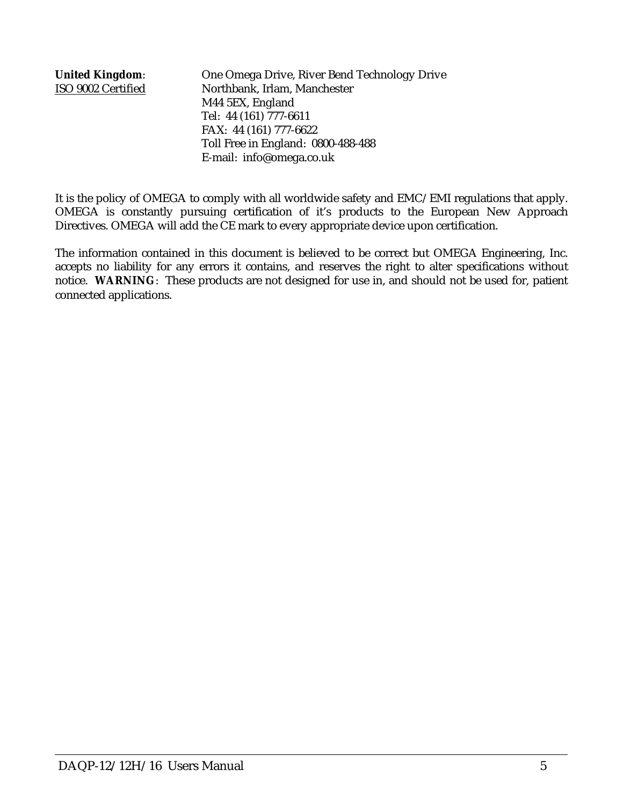**United Kingdom**: One Omega Drive, River Bend Technology Drive ISO 9002 Certified Northbank, Irlam, Manchester M44 5EX, England Tel: 44 (161) 777-6611 FAX: 44 (161) 777-6622 Toll Free in England: 0800-488-488 E-mail: info@omega.co.uk

It is the policy of OMEGA to comply with all worldwide safety and EMC/EMI regulations that apply. OMEGA is constantly pursuing certification of it's products to the European New Approach Directives. OMEGA will add the CE mark to every appropriate device upon certification.

The information contained in this document is believed to be correct but OMEGA Engineering, Inc. accepts no liability for any errors it contains, and reserves the right to alter specifications without notice. **WARNING**: These products are not designed for use in, and should not be used for, patient connected applications.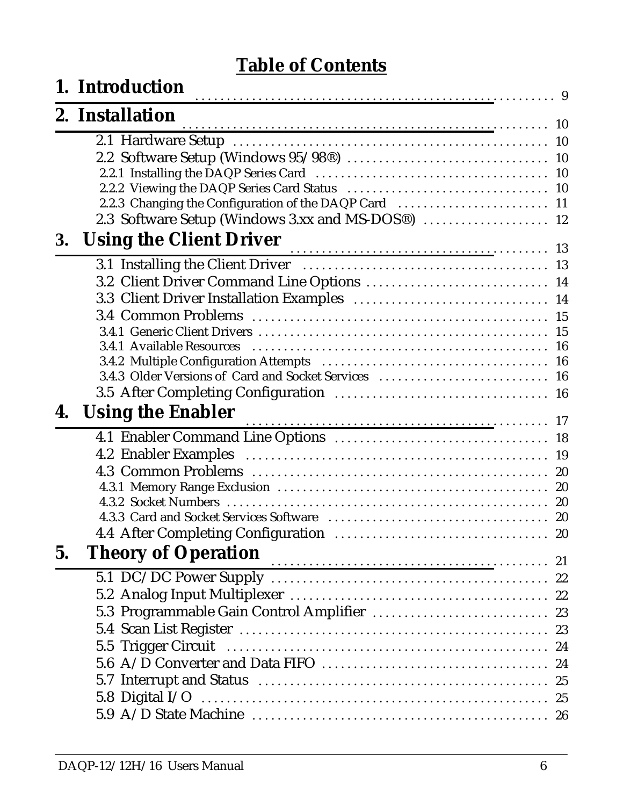# **Table of Contents**

|    | 1. Introduction                                       |    |
|----|-------------------------------------------------------|----|
|    | 2. Installation                                       |    |
|    |                                                       |    |
|    |                                                       |    |
|    |                                                       |    |
|    | 2.2.3 Changing the Configuration of the DAQP Card  11 |    |
|    |                                                       |    |
| 3. | <b>Using the Client Driver</b>                        |    |
|    |                                                       |    |
|    |                                                       |    |
|    | 3.2 Client Driver Command Line Options  14            |    |
|    |                                                       |    |
|    |                                                       |    |
|    |                                                       |    |
|    |                                                       |    |
|    |                                                       |    |
|    |                                                       |    |
| 4. | <b>Using the Enabler</b>                              |    |
|    |                                                       |    |
|    |                                                       |    |
|    |                                                       |    |
|    |                                                       |    |
|    | 4.3.2 Socket Numbers                                  |    |
|    |                                                       |    |
|    |                                                       | 20 |
| 5. | <b>Theory of Operation</b>                            |    |
|    |                                                       |    |
|    |                                                       |    |
|    | 5.3 Programmable Gain Control Amplifier  23           |    |
|    |                                                       |    |
|    |                                                       |    |
|    |                                                       |    |
|    |                                                       |    |
|    |                                                       |    |
|    |                                                       |    |
|    |                                                       |    |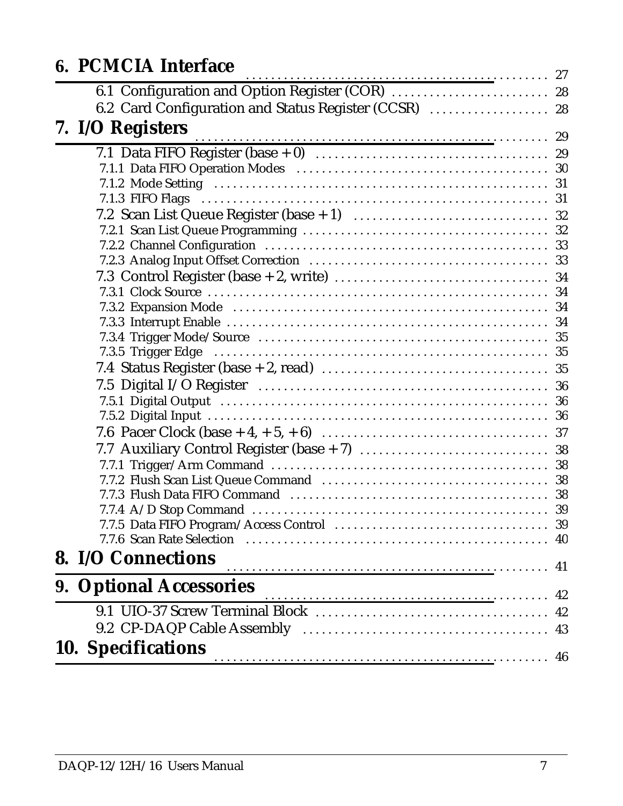| 6. PCMCIA Interface                                   |    |
|-------------------------------------------------------|----|
| 6.1 Configuration and Option Register (COR)  28       |    |
| 6.2 Card Configuration and Status Register (CCSR)  28 |    |
|                                                       |    |
| 7. I/O Registers 29                                   |    |
|                                                       |    |
|                                                       |    |
|                                                       |    |
|                                                       |    |
|                                                       |    |
|                                                       |    |
|                                                       |    |
|                                                       |    |
|                                                       |    |
|                                                       |    |
|                                                       |    |
|                                                       |    |
|                                                       |    |
|                                                       |    |
|                                                       |    |
|                                                       |    |
|                                                       |    |
|                                                       |    |
|                                                       |    |
|                                                       |    |
|                                                       |    |
|                                                       |    |
|                                                       |    |
|                                                       | 39 |
|                                                       | 40 |
| 8. I/O Connections                                    | 41 |
| <b>9. Optional Accessories</b>                        | 42 |
|                                                       | 42 |
|                                                       | 43 |
|                                                       |    |
| <b>10. Specifications</b>                             |    |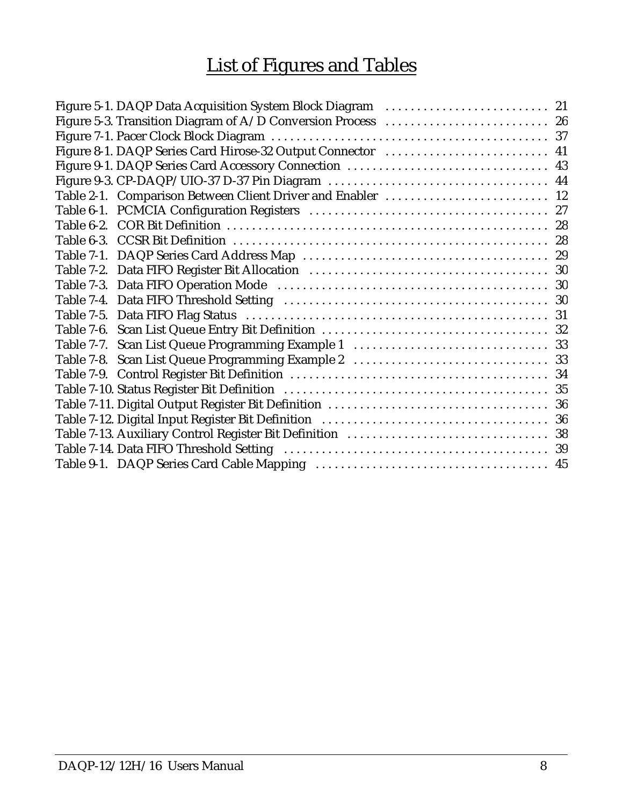# List of Figures and Tables

| Figure 8-1. DAQP Series Card Hirose-32 Output Connector  41 |  |
|-------------------------------------------------------------|--|
|                                                             |  |
|                                                             |  |
| Table 2-1. Comparison Between Client Driver and Enabler  12 |  |
|                                                             |  |
|                                                             |  |
|                                                             |  |
|                                                             |  |
|                                                             |  |
|                                                             |  |
|                                                             |  |
|                                                             |  |
|                                                             |  |
|                                                             |  |
|                                                             |  |
|                                                             |  |
|                                                             |  |
|                                                             |  |
|                                                             |  |
|                                                             |  |
|                                                             |  |
|                                                             |  |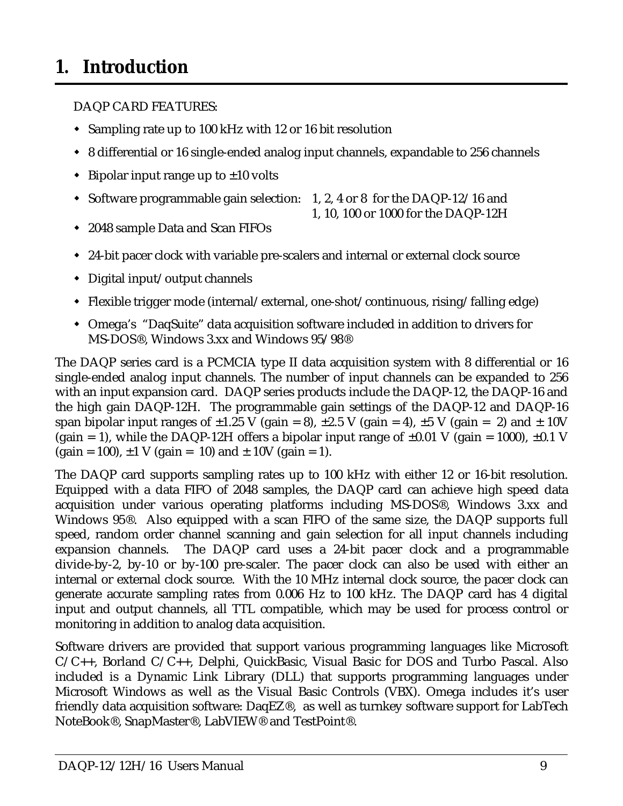# <span id="page-8-0"></span>**1. Introduction**

DAQP CARD FEATURES:

- $\mathbf{r}$ Sampling rate up to 100 kHz with 12 or 16 bit resolution
- $\mathbf{r}$ 8 differential or 16 single-ended analog input channels, expandable to 256 channels
- $\mathbf{r}$  $\bullet$  Bipolar input range up to  $\pm 10$  volts
- $\mathbf{r}$  Software programmable gain selection: 1, 2, 4 or 8 for the DAQP-12/16 and
	- 1, 10, 100 or 1000 for the DAQP-12H
- $\mathbf{r}$ 2048 sample Data and Scan FIFOs
- $\mathbf{r}$ 24-bit pacer clock with variable pre-scalers and internal or external clock source
- $\mathbf{r}$ Digital input/output channels
- $\mathbf{r}$ Flexible trigger mode (internal/external, one-shot/continuous, rising/falling edge)
- $\mathbf{r}$  Omega's "DaqSuite" data acquisition software included in addition to drivers for MS-DOS®, Windows 3.xx and Windows 95/98®

The DAQP series card is a PCMCIA type II data acquisition system with 8 differential or 16 single-ended analog input channels. The number of input channels can be expanded to 256 with an input expansion card. DAQP series products include the DAQP-12, the DAQP-16 and the high gain DAQP-12H. The programmable gain settings of the DAQP-12 and DAQP-16 span bipolar input ranges of  $\pm 1.25$  V (gain = 8),  $\pm 2.5$  V (gain = 4),  $\pm 5$  V (gain = 2) and  $\pm 10$ V (gain = 1), while the DAQP-12H offers a bipolar input range of  $\pm 0.01$  V (gain = 1000),  $\pm 0.1$  V  $(gain = 100)$ ,  $\pm 1$  V  $(gain = 10)$  and  $\pm 10$ V  $(gain = 1)$ .

The DAQP card supports sampling rates up to 100 kHz with either 12 or 16-bit resolution. Equipped with a data FIFO of 2048 samples, the DAQP card can achieve high speed data acquisition under various operating platforms including MS-DOS®, Windows 3.xx and Windows 95®. Also equipped with a scan FIFO of the same size, the DAQP supports full speed, random order channel scanning and gain selection for all input channels including expansion channels. The DAQP card uses a 24-bit pacer clock and a programmable divide-by-2, by-10 or by-100 pre-scaler. The pacer clock can also be used with either an internal or external clock source. With the 10 MHz internal clock source, the pacer clock can generate accurate sampling rates from 0.006 Hz to 100 kHz. The DAQP card has 4 digital input and output channels, all TTL compatible, which may be used for process control or monitoring in addition to analog data acquisition.

Software drivers are provided that support various programming languages like Microsoft C/C++, Borland C/C++, Delphi, QuickBasic, Visual Basic for DOS and Turbo Pascal. Also included is a Dynamic Link Library (DLL) that supports programming languages under Microsoft Windows as well as the Visual Basic Controls (VBX). Omega includes it's user friendly data acquisition software: DaqEZ®, as well as turnkey software support for LabTech NoteBook®, SnapMaster®, LabVIEW® and TestPoint®.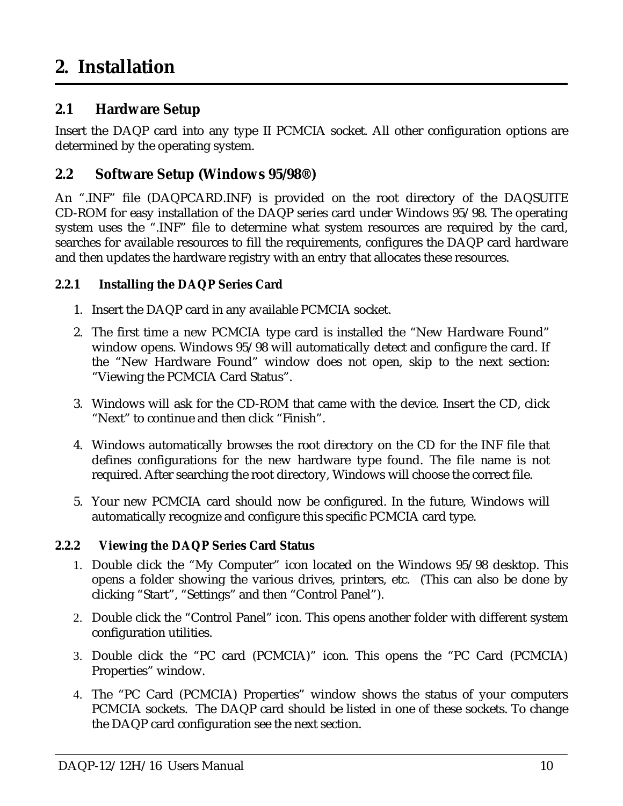## <span id="page-9-0"></span>**2.1 Hardware Setup**

Insert the DAQP card into any type II PCMCIA socket. All other configuration options are determined by the operating system.

## **2.2 Software Setup (Windows 95/98®)**

An ".INF" file (DAQPCARD.INF) is provided on the root directory of the DAQSUITE CD-ROM for easy installation of the DAQP series card under Windows 95/98. The operating system uses the ".INF" file to determine what system resources are required by the card, searches for available resources to fill the requirements, configures the DAQP card hardware and then updates the hardware registry with an entry that allocates these resources.

#### **2.2.1 Installing the DAQP Series Card**

- 1. Insert the DAQP card in any available PCMCIA socket.
- 2. The first time a new PCMCIA type card is installed the "New Hardware Found" window opens. Windows 95/98 will automatically detect and configure the card. If the "New Hardware Found" window does not open, skip to the next section: "Viewing the PCMCIA Card Status".
- 3. Windows will ask for the CD-ROM that came with the device. Insert the CD, click "Next" to continue and then click "Finish".
- 4. Windows automatically browses the root directory on the CD for the INF file that defines configurations for the new hardware type found. The file name is not required. After searching the root directory, Windows will choose the correct file.
- 5. Your new PCMCIA card should now be configured. In the future, Windows will automatically recognize and configure this specific PCMCIA card type.

#### **2.2.2 Viewing the DAQP Series Card Status**

- 1. Double click the "My Computer" icon located on the Windows 95/98 desktop. This opens a folder showing the various drives, printers, etc. (This can also be done by clicking "Start", "Settings" and then "Control Panel").
- 2. Double click the "Control Panel" icon. This opens another folder with different system configuration utilities.
- 3. Double click the "PC card (PCMCIA)" icon. This opens the "PC Card (PCMCIA) Properties" window.
- 4. The "PC Card (PCMCIA) Properties" window shows the status of your computers PCMCIA sockets. The DAQP card should be listed in one of these sockets. To change the DAQP card configuration see the next section.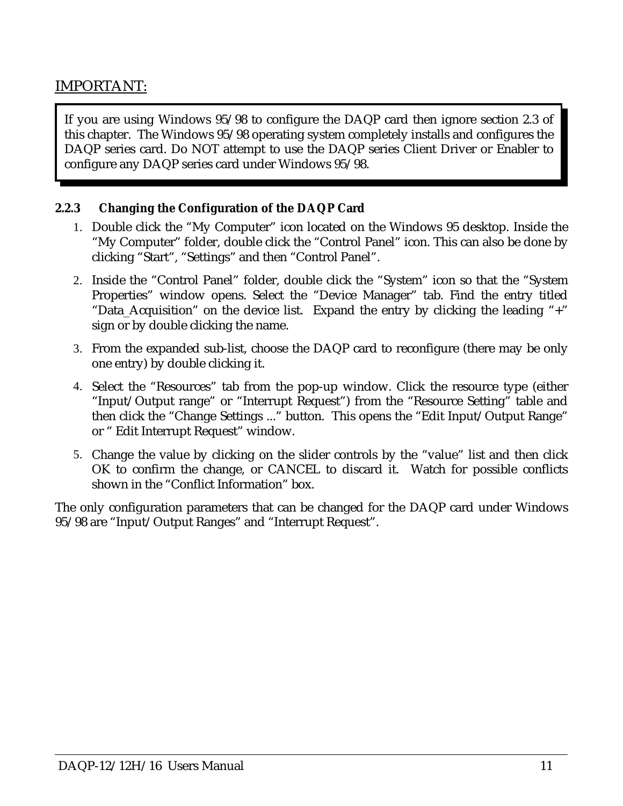# IMPORTANT:

If you are using Windows 95/98 to configure the DAQP card then ignore section 2.3 of this chapter. The Windows 95/98 operating system completely installs and configures the DAQP series card. Do NOT attempt to use the DAQP series Client Driver or Enabler to configure any DAQP series card under Windows 95/98.

#### **2.2.3 Changing the Configuration of the DAQP Card**

- 1. Double click the "My Computer" icon located on the Windows 95 desktop. Inside the "My Computer" folder, double click the "Control Panel" icon. This can also be done by clicking "Start", "Settings" and then "Control Panel".
- 2. Inside the "Control Panel" folder, double click the "System" icon so that the "System Properties" window opens. Select the "Device Manager" tab. Find the entry titled "Data\_Acquisition" on the device list. Expand the entry by clicking the leading "+" sign or by double clicking the name.
- 3. From the expanded sub-list, choose the DAQP card to reconfigure (there may be only one entry) by double clicking it.
- 4. Select the "Resources" tab from the pop-up window. Click the resource type (either "Input/Output range" or "Interrupt Request") from the "Resource Setting" table and then click the "Change Settings ..." button. This opens the "Edit Input/Output Range" or " Edit Interrupt Request" window.
- 5. Change the value by clicking on the slider controls by the "value" list and then click OK to confirm the change, or CANCEL to discard it. Watch for possible conflicts shown in the "Conflict Information" box.

The only configuration parameters that can be changed for the DAQP card under Windows 95/98 are "Input/Output Ranges" and "Interrupt Request".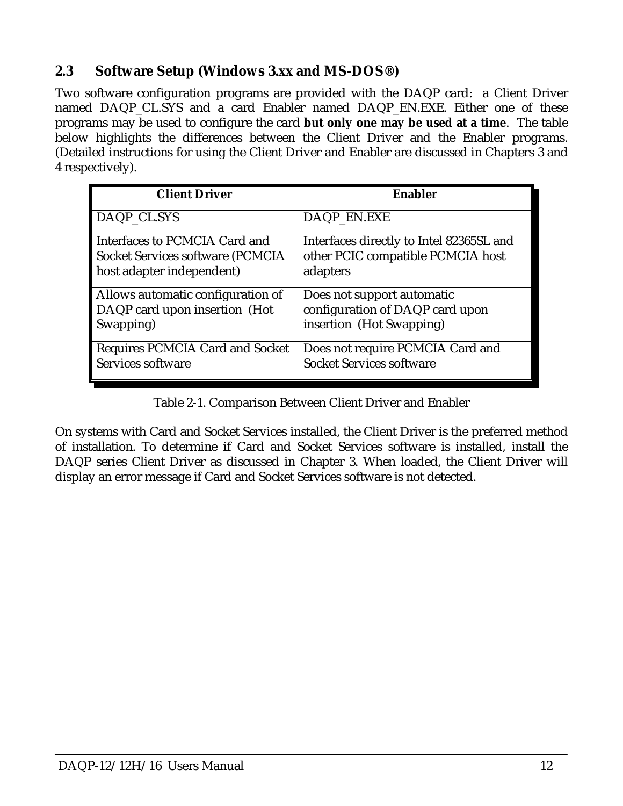# <span id="page-11-0"></span>**2.3 Software Setup (Windows 3.xx and MS-DOS®***)*

Two software configuration programs are provided with the DAQP card: a Client Driver named DAQP CL.SYS and a card Enabler named DAQP EN.EXE. Either one of these programs may be used to configure the card **but only one may be used at a time**. The table below highlights the differences between the Client Driver and the Enabler programs. (Detailed instructions for using the Client Driver and Enabler are discussed in Chapters 3 and 4 respectively).

| <b>Client Driver</b>                     | <b>Enabler</b>                           |
|------------------------------------------|------------------------------------------|
| DAQP_CL.SYS                              | DAQP_EN.EXE                              |
| Interfaces to PCMCIA Card and            | Interfaces directly to Intel 82365SL and |
| <b>Socket Services software (PCMCIA)</b> | other PCIC compatible PCMCIA host        |
| host adapter independent)                | adapters                                 |
| Allows automatic configuration of        | Does not support automatic               |
| DAQP card upon insertion (Hot            | configuration of DAQP card upon          |
| Swapping)                                | insertion (Hot Swapping)                 |
| <b>Requires PCMCIA Card and Socket</b>   | Does not require PCMCIA Card and         |
| Services software                        | <b>Socket Services software</b>          |

Table 2-1. Comparison Between Client Driver and Enabler

On systems with Card and Socket Services installed, the Client Driver is the preferred method of installation. To determine if Card and Socket Services software is installed, install the DAQP series Client Driver as discussed in Chapter 3. When loaded, the Client Driver will display an error message if Card and Socket Services software is not detected.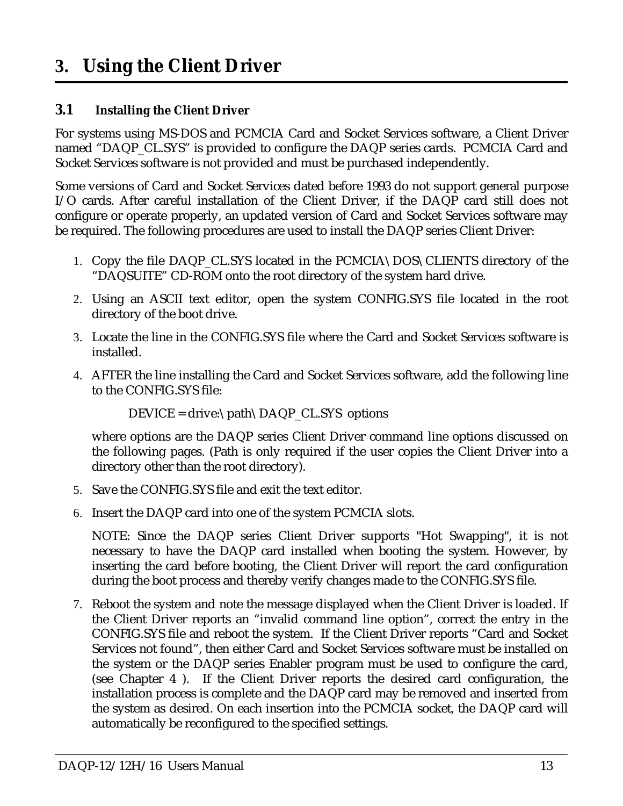# <span id="page-12-0"></span>**3. Using the Client Driver**

#### **3.1 Installing the Client Driver**

For systems using MS-DOS and PCMCIA Card and Socket Services software, a Client Driver named "DAQP\_CL.SYS" is provided to configure the DAQP series cards. PCMCIA Card and Socket Services software is not provided and must be purchased independently.

Some versions of Card and Socket Services dated before 1993 do not support general purpose I/O cards. After careful installation of the Client Driver, if the DAQP card still does not configure or operate properly, an updated version of Card and Socket Services software may be required. The following procedures are used to install the DAQP series Client Driver:

- 1. Copy the file DAQP\_CL.SYS located in the PCMCIA\DOS\CLIENTS directory of the "DAQSUITE" CD-ROM onto the root directory of the system hard drive.
- 2. Using an ASCII text editor, open the system CONFIG.SYS file located in the root directory of the boot drive.
- 3. Locate the line in the CONFIG.SYS file where the Card and Socket Services software is installed.
- 4. AFTER the line installing the Card and Socket Services software, add the following line to the CONFIG.SYS file:

DEVICE = drive:\path\DAQP\_CL.SYS options

where options are the DAQP series Client Driver command line options discussed on the following pages. (Path is only required if the user copies the Client Driver into a directory other than the root directory).

- 5. Save the CONFIG.SYS file and exit the text editor.
- 6. Insert the DAQP card into one of the system PCMCIA slots.

NOTE: Since the DAQP series Client Driver supports "Hot Swapping", it is not necessary to have the DAQP card installed when booting the system. However, by inserting the card before booting, the Client Driver will report the card configuration during the boot process and thereby verify changes made to the CONFIG.SYS file.

7. Reboot the system and note the message displayed when the Client Driver is loaded. If the Client Driver reports an "invalid command line option", correct the entry in the CONFIG.SYS file and reboot the system. If the Client Driver reports "Card and Socket Services not found", then either Card and Socket Services software must be installed on the system or the DAQP series Enabler program must be used to configure the card, (see Chapter 4 ). If the Client Driver reports the desired card configuration, the installation process is complete and the DAQP card may be removed and inserted from the system as desired. On each insertion into the PCMCIA socket, the DAQP card will automatically be reconfigured to the specified settings.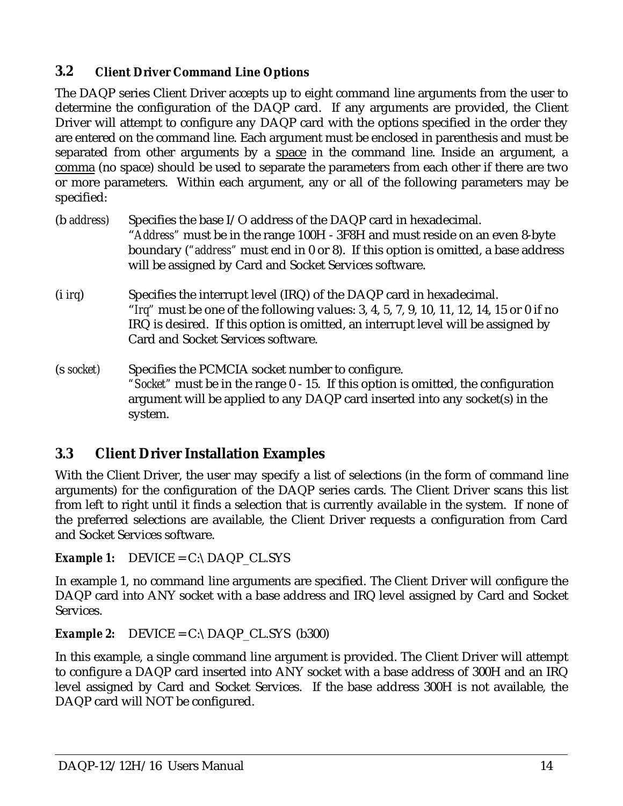## **3.2 Client Driver Command Line Options**

The DAQP series Client Driver accepts up to eight command line arguments from the user to determine the configuration of the DAQP card. If any arguments are provided, the Client Driver will attempt to configure any DAQP card with the options specified in the order they are entered on the command line. Each argument must be enclosed in parenthesis and must be separated from other arguments by a space in the command line. Inside an argument, a comma (no space) should be used to separate the parameters from each other if there are two or more parameters. Within each argument, any or all of the following parameters may be specified:

| (b <i>address</i> ) | Specifies the base I/O address of the DAQP card in hexadecimal.<br>"Address" must be in the range 100H - 3F8H and must reside on an even 8-byte<br>boundary ("address" must end in 0 or 8). If this option is omitted, a base address<br>will be assigned by Card and Socket Services software. |
|---------------------|-------------------------------------------------------------------------------------------------------------------------------------------------------------------------------------------------------------------------------------------------------------------------------------------------|
| $(i$ <i>irg</i> )   | Specifies the interrupt level (IRQ) of the DAQP card in hexadecimal.<br>"Irq" must be one of the following values: 3, 4, 5, 7, 9, 10, 11, 12, 14, 15 or 0 if no<br>IRQ is desired. If this option is omitted, an interrupt level will be assigned by<br>Card and Socket Services software.      |
| (s socket)          | Specifies the PCMCIA socket number to configure.<br>"Socket" must be in the range 0 - 15. If this option is omitted, the configuration<br>argument will be applied to any DAQP card inserted into any socket(s) in the                                                                          |

# **3.3 Client Driver Installation Examples**

system.

With the Client Driver, the user may specify a list of selections (in the form of command line arguments) for the configuration of the DAQP series cards. The Client Driver scans this list from left to right until it finds a selection that is currently available in the system. If none of the preferred selections are available, the Client Driver requests a configuration from Card and Socket Services software.

*Example 1:*  $DEVICE = C:\D{DAQP\_CL.SYS}$ 

In example 1, no command line arguments are specified. The Client Driver will configure the DAQP card into ANY socket with a base address and IRQ level assigned by Card and Socket Services.

*Example 2:* DEVICE =  $C:\D{DAQP}$  CL.SYS (b300)

In this example, a single command line argument is provided. The Client Driver will attempt to configure a DAQP card inserted into ANY socket with a base address of 300H and an IRQ level assigned by Card and Socket Services. If the base address 300H is not available, the DAQP card will NOT be configured.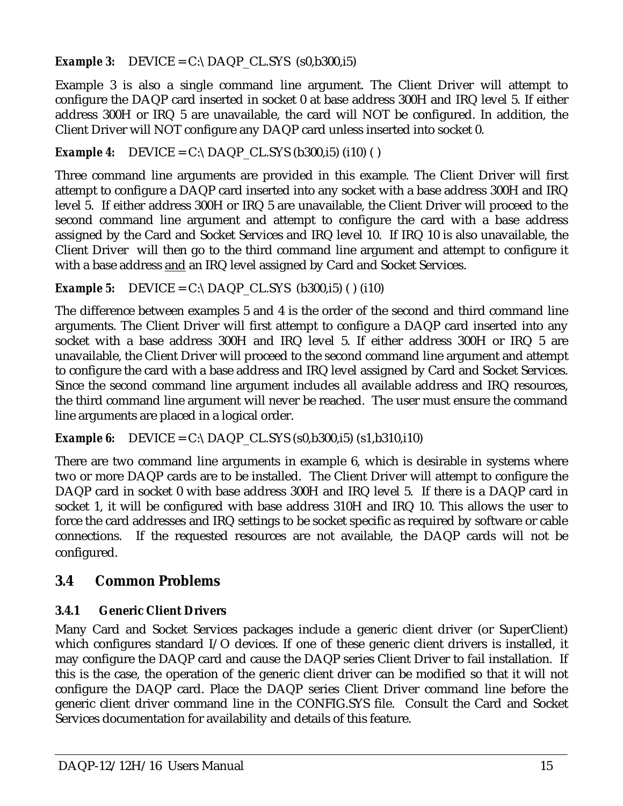*Example 3:* DEVICE =  $C:\D{DAQP\_CL.SYS (s0,b300,i5)}$ 

Example 3 is also a single command line argument. The Client Driver will attempt to configure the DAQP card inserted in socket 0 at base address 300H and IRQ level 5. If either address 300H or IRQ 5 are unavailable, the card will NOT be configured. In addition, the Client Driver will NOT configure any DAQP card unless inserted into socket 0.

*Example 4:* DEVICE =  $C:\D{DAQP\_CL.SYS (b300,i5) (i10) ( )}$ 

Three command line arguments are provided in this example. The Client Driver will first attempt to configure a DAQP card inserted into any socket with a base address 300H and IRQ level 5. If either address 300H or IRQ 5 are unavailable, the Client Driver will proceed to the second command line argument and attempt to configure the card with a base address assigned by the Card and Socket Services and IRQ level 10. If IRQ 10 is also unavailable, the Client Driver will then go to the third command line argument and attempt to configure it with a base address and an IRQ level assigned by Card and Socket Services.

*Example 5:* DEVICE = C:\DAQP CL.SYS (b300,i5) () (i10)

The difference between examples 5 and 4 is the order of the second and third command line arguments. The Client Driver will first attempt to configure a DAQP card inserted into any socket with a base address 300H and IRQ level 5. If either address 300H or IRQ 5 are unavailable, the Client Driver will proceed to the second command line argument and attempt to configure the card with a base address and IRQ level assigned by Card and Socket Services. Since the second command line argument includes all available address and IRQ resources, the third command line argument will never be reached. The user must ensure the command line arguments are placed in a logical order.

*Example 6:* DEVICE = C:\DAQP CL.SYS (s0,b300,i5) (s1,b310,i10)

There are two command line arguments in example 6, which is desirable in systems where two or more DAQP cards are to be installed. The Client Driver will attempt to configure the DAQP card in socket 0 with base address 300H and IRQ level 5. If there is a DAQP card in socket 1, it will be configured with base address 310H and IRQ 10. This allows the user to force the card addresses and IRQ settings to be socket specific as required by software or cable connections. If the requested resources are not available, the DAQP cards will not be configured.

# **3.4 Common Problems**

# **3.4.1 Generic Client Drivers**

Many Card and Socket Services packages include a generic client driver (or SuperClient) which configures standard I/O devices. If one of these generic client drivers is installed, it may configure the DAQP card and cause the DAQP series Client Driver to fail installation. If this is the case, the operation of the generic client driver can be modified so that it will not configure the DAQP card. Place the DAQP series Client Driver command line before the generic client driver command line in the CONFIG.SYS file. Consult the Card and Socket Services documentation for availability and details of this feature.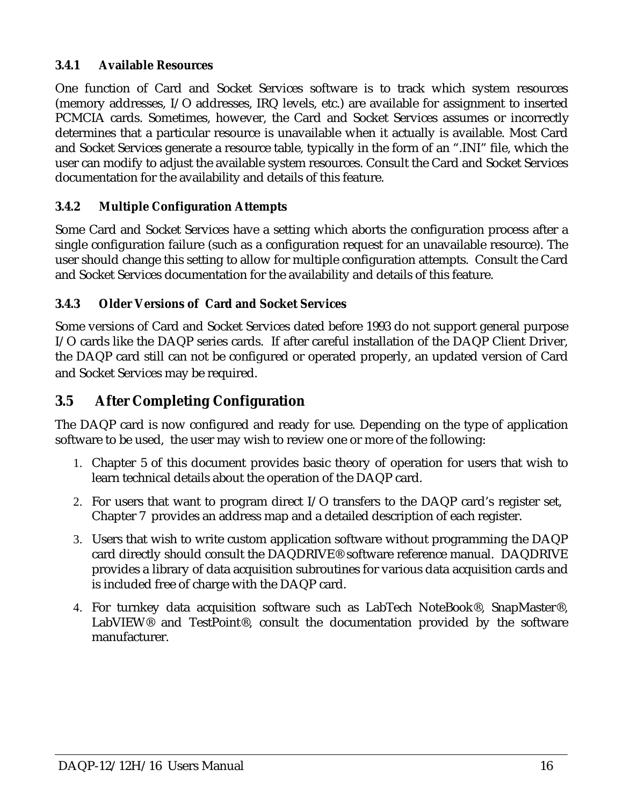#### **3.4.1 Available Resources**

One function of Card and Socket Services software is to track which system resources (memory addresses, I/O addresses, IRQ levels, etc.) are available for assignment to inserted PCMCIA cards. Sometimes, however, the Card and Socket Services assumes or incorrectly determines that a particular resource is unavailable when it actually is available. Most Card and Socket Services generate a resource table, typically in the form of an ".INI" file, which the user can modify to adjust the available system resources. Consult the Card and Socket Services documentation for the availability and details of this feature.

#### **3.4.2 Multiple Configuration Attempts**

Some Card and Socket Services have a setting which aborts the configuration process after a single configuration failure (such as a configuration request for an unavailable resource). The user should change this setting to allow for multiple configuration attempts. Consult the Card and Socket Services documentation for the availability and details of this feature.

#### **3.4.3 Older Versions of Card and Socket Services**

Some versions of Card and Socket Services dated before 1993 do not support general purpose I/O cards like the DAQP series cards. If after careful installation of the DAQP Client Driver, the DAQP card still can not be configured or operated properly, an updated version of Card and Socket Services may be required.

## **3.5 After Completing Configuration**

The DAQP card is now configured and ready for use. Depending on the type of application software to be used, the user may wish to review one or more of the following:

- 1. Chapter 5 of this document provides basic theory of operation for users that wish to learn technical details about the operation of the DAQP card.
- 2. For users that want to program direct I/O transfers to the DAQP card's register set, Chapter 7 provides an address map and a detailed description of each register.
- 3. Users that wish to write custom application software without programming the DAQP card directly should consult the DAQDRIVE® software reference manual. DAQDRIVE provides a library of data acquisition subroutines for various data acquisition cards and is included free of charge with the DAQP card.
- 4. For turnkey data acquisition software such as LabTech NoteBook®, SnapMaster®, LabVIEW® and TestPoint®, consult the documentation provided by the software manufacturer.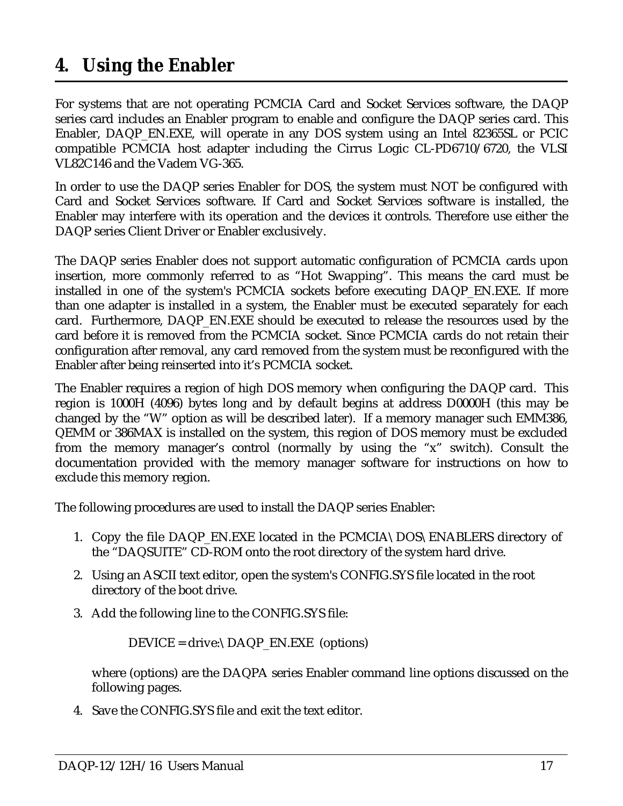# <span id="page-16-0"></span>**4. Using the Enabler**

For systems that are not operating PCMCIA Card and Socket Services software, the DAQP series card includes an Enabler program to enable and configure the DAQP series card. This Enabler, DAQP\_EN.EXE, will operate in any DOS system using an Intel 82365SL or PCIC compatible PCMCIA host adapter including the Cirrus Logic CL-PD6710/6720, the VLSI VL82C146 and the Vadem VG-365.

In order to use the DAQP series Enabler for DOS, the system must NOT be configured with Card and Socket Services software. If Card and Socket Services software is installed, the Enabler may interfere with its operation and the devices it controls. Therefore use either the DAQP series Client Driver or Enabler exclusively.

The DAQP series Enabler does not support automatic configuration of PCMCIA cards upon insertion, more commonly referred to as "Hot Swapping". This means the card must be installed in one of the system's PCMCIA sockets before executing DAQP\_EN.EXE. If more than one adapter is installed in a system, the Enabler must be executed separately for each card. Furthermore, DAQP\_EN.EXE should be executed to release the resources used by the card before it is removed from the PCMCIA socket. Since PCMCIA cards do not retain their configuration after removal, any card removed from the system must be reconfigured with the Enabler after being reinserted into it's PCMCIA socket.

The Enabler requires a region of high DOS memory when configuring the DAQP card. This region is 1000H (4096) bytes long and by default begins at address D0000H (this may be changed by the "W" option as will be described later). If a memory manager such EMM386, QEMM or 386MAX is installed on the system, this region of DOS memory must be excluded from the memory manager's control (normally by using the "x" switch). Consult the documentation provided with the memory manager software for instructions on how to exclude this memory region.

The following procedures are used to install the DAQP series Enabler:

- 1. Copy the file DAQP\_EN.EXE located in the PCMCIA\DOS\ENABLERS directory of the "DAQSUITE" CD-ROM onto the root directory of the system hard drive.
- 2. Using an ASCII text editor, open the system's CONFIG.SYS file located in the root directory of the boot drive.
- 3. Add the following line to the CONFIG.SYS file:

DEVICE = drive:\DAQP\_EN.EXE (options)

where (options) are the DAQPA series Enabler command line options discussed on the following pages.

4. Save the CONFIG.SYS file and exit the text editor.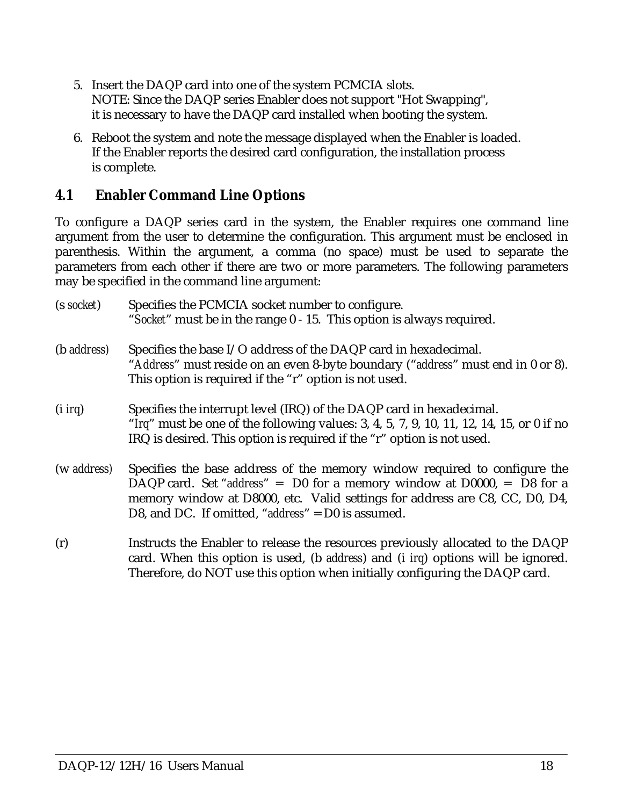- 5. Insert the DAQP card into one of the system PCMCIA slots. NOTE: Since the DAQP series Enabler does not support "Hot Swapping", it is necessary to have the DAQP card installed when booting the system.
- 6. Reboot the system and note the message displayed when the Enabler is loaded. If the Enabler reports the desired card configuration, the installation process is complete.

### **4.1 Enabler Command Line Options**

To configure a DAQP series card in the system, the Enabler requires one command line argument from the user to determine the configuration. This argument must be enclosed in parenthesis. Within the argument, a comma (no space) must be used to separate the parameters from each other if there are two or more parameters. The following parameters may be specified in the command line argument:

| (s socket)          | Specifies the PCMCIA socket number to configure.<br>"Socket" must be in the range 0 - 15. This option is always required.                                                                                                                                                                         |
|---------------------|---------------------------------------------------------------------------------------------------------------------------------------------------------------------------------------------------------------------------------------------------------------------------------------------------|
| (b <i>address</i> ) | Specifies the base I/O address of the DAQP card in hexadecimal.<br>"Address" must reside on an even 8-byte boundary ("address" must end in 0 or 8).<br>This option is required if the "r" option is not used.                                                                                     |
| $(i$ <i>irg</i> )   | Specifies the interrupt level (IRQ) of the DAQP card in hexadecimal.<br>"Irq" must be one of the following values: 3, 4, 5, 7, 9, 10, 11, 12, 14, 15, or 0 if no<br>IRQ is desired. This option is required if the "r" option is not used.                                                        |
| (w address)         | Specifies the base address of the memory window required to configure the<br>DAQP card. Set "address" = $D0$ for a memory window at $D0000$ , = $D8$ for a<br>memory window at D8000, etc. Valid settings for address are C8, CC, D0, D4,<br>D8, and DC. If omitted, "address" $=$ D0 is assumed. |
| (r)                 | Instructs the Enabler to release the resources previously allocated to the DAQP<br>card. When this option is used, (b address) and (i irg) options will be ignored.<br>Therefore, do NOT use this option when initially configuring the DAQP card.                                                |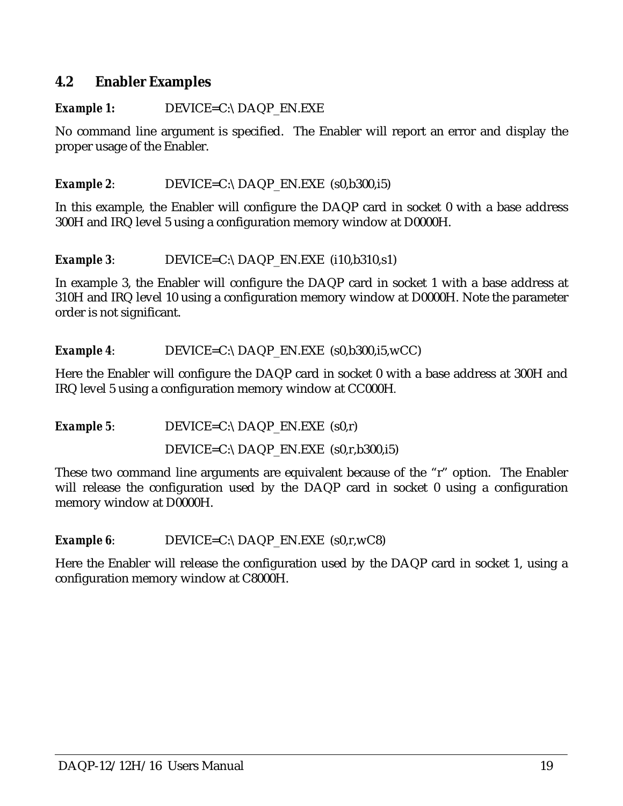#### **4.2 Enabler Examples**

#### **Example 1:** DEVICE=C:\DAQP\_EN.EXE

No command line argument is specified. The Enabler will report an error and display the proper usage of the Enabler.

#### *Example 2*: DEVICE=C:\DAQP\_EN.EXE (s0,b300,i5)

In this example, the Enabler will configure the DAQP card in socket 0 with a base address 300H and IRQ level 5 using a configuration memory window at D0000H.

**Example 3:** DEVICE=C:\DAQP\_EN.EXE (i10,b310,s1)

In example 3, the Enabler will configure the DAQP card in socket 1 with a base address at 310H and IRQ level 10 using a configuration memory window at D0000H. Note the parameter order is not significant.

*Example 4*: DEVICE=C:\DAQP\_EN.EXE (s0,b300,i5,wCC)

Here the Enabler will configure the DAQP card in socket 0 with a base address at 300H and IRQ level 5 using a configuration memory window at CC000H.

*Example 5*: DEVICE=C:\DAQP\_EN.EXE (s0,r) DEVICE=C:\DAQP\_EN.EXE (s0,r,b300,i5)

These two command line arguments are equivalent because of the "r" option. The Enabler will release the configuration used by the DAQP card in socket 0 using a configuration memory window at D0000H.

*Example 6*: DEVICE=C:\DAQP\_EN.EXE (s0,r,wC8)

Here the Enabler will release the configuration used by the DAQP card in socket 1, using a configuration memory window at C8000H.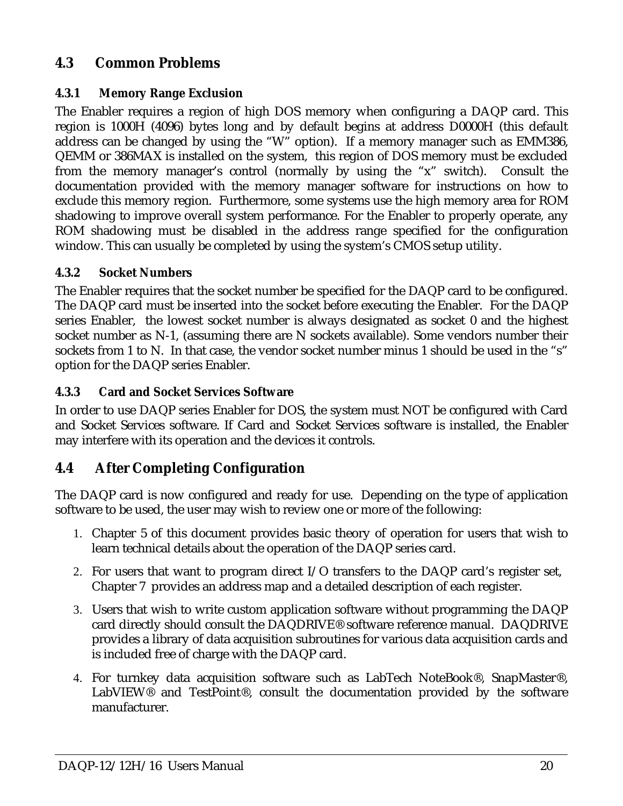# **4.3 Common Problems**

#### **4.3.1 Memory Range Exclusion**

The Enabler requires a region of high DOS memory when configuring a DAQP card. This region is 1000H (4096) bytes long and by default begins at address D0000H (this default address can be changed by using the "W" option). If a memory manager such as EMM386, QEMM or 386MAX is installed on the system, this region of DOS memory must be excluded from the memory manager's control (normally by using the "x" switch). Consult the documentation provided with the memory manager software for instructions on how to exclude this memory region. Furthermore, some systems use the high memory area for ROM shadowing to improve overall system performance. For the Enabler to properly operate, any ROM shadowing must be disabled in the address range specified for the configuration window. This can usually be completed by using the system's CMOS setup utility.

#### **4.3.2 Socket Numbers**

The Enabler requires that the socket number be specified for the DAQP card to be configured. The DAQP card must be inserted into the socket before executing the Enabler. For the DAQP series Enabler, the lowest socket number is always designated as socket 0 and the highest socket number as N-1, (assuming there are N sockets available). Some vendors number their sockets from 1 to N. In that case, the vendor socket number minus 1 should be used in the "s" option for the DAQP series Enabler.

#### **4.3.3 Card and Socket Services Software**

In order to use DAQP series Enabler for DOS, the system must NOT be configured with Card and Socket Services software. If Card and Socket Services software is installed, the Enabler may interfere with its operation and the devices it controls.

# **4.4 After Completing Configuration**

The DAQP card is now configured and ready for use. Depending on the type of application software to be used, the user may wish to review one or more of the following:

- 1. Chapter 5 of this document provides basic theory of operation for users that wish to learn technical details about the operation of the DAQP series card.
- 2. For users that want to program direct I/O transfers to the DAQP card's register set, Chapter 7 provides an address map and a detailed description of each register.
- 3. Users that wish to write custom application software without programming the DAQP card directly should consult the DAQDRIVE® software reference manual. DAQDRIVE provides a library of data acquisition subroutines for various data acquisition cards and is included free of charge with the DAQP card.
- 4. For turnkey data acquisition software such as LabTech NoteBook®, SnapMaster®, LabVIEW® and TestPoint®, consult the documentation provided by the software manufacturer.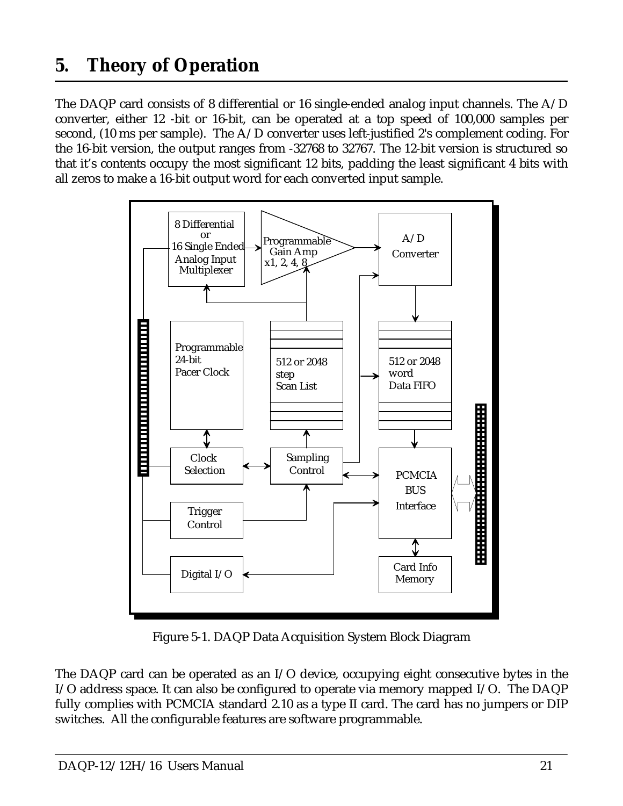# <span id="page-20-0"></span>**5. Theory of Operation**

The DAQP card consists of 8 differential or 16 single-ended analog input channels. The A/D converter, either 12 -bit or 16-bit, can be operated at a top speed of 100,000 samples per second, (10 ms per sample). The A/D converter uses left-justified 2's complement coding. For the 16-bit version, the output ranges from -32768 to 32767. The 12-bit version is structured so that it's contents occupy the most significant 12 bits, padding the least significant 4 bits with all zeros to make a 16-bit output word for each converted input sample.



Figure 5-1. DAQP Data Acquisition System Block Diagram

The DAQP card can be operated as an I/O device, occupying eight consecutive bytes in the I/O address space. It can also be configured to operate via memory mapped I/O. The DAQP fully complies with PCMCIA standard 2.10 as a type II card. The card has no jumpers or DIP switches. All the configurable features are software programmable.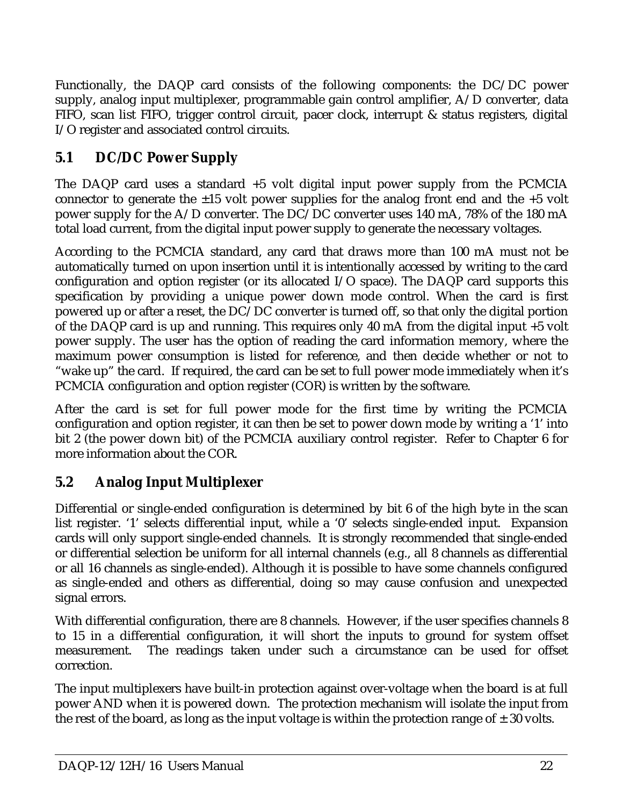Functionally, the DAQP card consists of the following components: the DC/DC power supply, analog input multiplexer, programmable gain control amplifier, A/D converter, data FIFO, scan list FIFO, trigger control circuit, pacer clock, interrupt & status registers, digital I/O register and associated control circuits.

# **5.1 DC/DC Power Supply**

The DAQP card uses a standard +5 volt digital input power supply from the PCMCIA connector to generate the  $\pm 15$  volt power supplies for the analog front end and the  $+5$  volt power supply for the A/D converter. The DC/DC converter uses 140 mA, 78% of the 180 mA total load current, from the digital input power supply to generate the necessary voltages.

According to the PCMCIA standard, any card that draws more than 100 mA must not be automatically turned on upon insertion until it is intentionally accessed by writing to the card configuration and option register (or its allocated I/O space). The DAQP card supports this specification by providing a unique power down mode control. When the card is first powered up or after a reset, the DC/DC converter is turned off, so that only the digital portion of the DAQP card is up and running. This requires only 40 mA from the digital input +5 volt power supply. The user has the option of reading the card information memory, where the maximum power consumption is listed for reference, and then decide whether or not to "wake up" the card. If required, the card can be set to full power mode immediately when it's PCMCIA configuration and option register (COR) is written by the software.

After the card is set for full power mode for the first time by writing the PCMCIA configuration and option register, it can then be set to power down mode by writing a '1' into bit 2 (the power down bit) of the PCMCIA auxiliary control register. Refer to Chapter 6 for more information about the COR.

# **5.2 Analog Input Multiplexer**

Differential or single-ended configuration is determined by bit 6 of the high byte in the scan list register. '1' selects differential input, while a '0' selects single-ended input. Expansion cards will only support single-ended channels. It is strongly recommended that single-ended or differential selection be uniform for all internal channels (e.g., all 8 channels as differential or all 16 channels as single-ended). Although it is possible to have some channels configured as single-ended and others as differential, doing so may cause confusion and unexpected signal errors.

With differential configuration, there are 8 channels. However, if the user specifies channels 8 to 15 in a differential configuration, it will short the inputs to ground for system offset measurement. The readings taken under such a circumstance can be used for offset correction.

The input multiplexers have built-in protection against over-voltage when the board is at full power AND when it is powered down. The protection mechanism will isolate the input from the rest of the board, as long as the input voltage is within the protection range of  $\pm$  30 volts.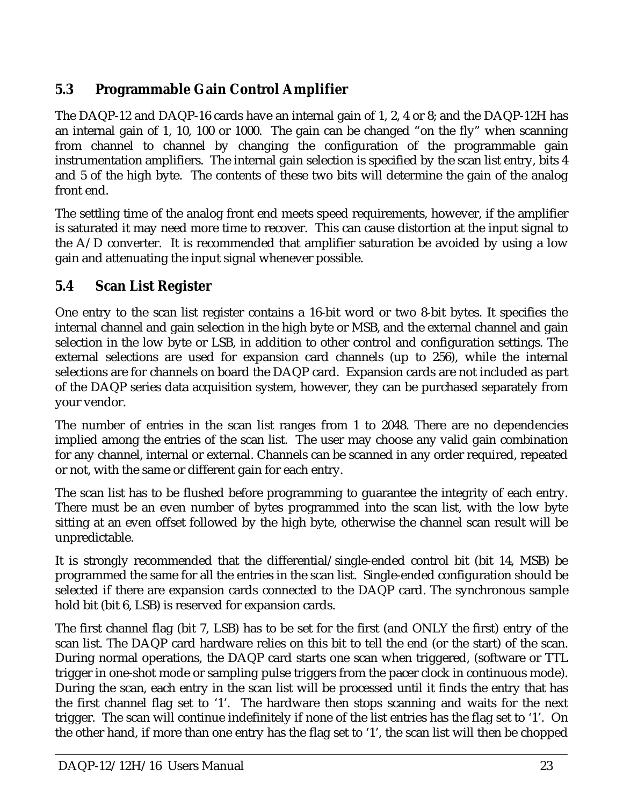# **5.3 Programmable Gain Control Amplifier**

The DAQP-12 and DAQP-16 cards have an internal gain of 1, 2, 4 or 8; and the DAQP-12H has an internal gain of 1, 10, 100 or 1000. The gain can be changed "on the fly" when scanning from channel to channel by changing the configuration of the programmable gain instrumentation amplifiers. The internal gain selection is specified by the scan list entry, bits 4 and 5 of the high byte. The contents of these two bits will determine the gain of the analog front end.

The settling time of the analog front end meets speed requirements, however, if the amplifier is saturated it may need more time to recover. This can cause distortion at the input signal to the A/D converter. It is recommended that amplifier saturation be avoided by using a low gain and attenuating the input signal whenever possible.

# **5.4 Scan List Register**

One entry to the scan list register contains a 16-bit word or two 8-bit bytes. It specifies the internal channel and gain selection in the high byte or MSB, and the external channel and gain selection in the low byte or LSB, in addition to other control and configuration settings. The external selections are used for expansion card channels (up to 256), while the internal selections are for channels on board the DAQP card. Expansion cards are not included as part of the DAQP series data acquisition system, however, they can be purchased separately from your vendor.

The number of entries in the scan list ranges from 1 to 2048. There are no dependencies implied among the entries of the scan list. The user may choose any valid gain combination for any channel, internal or external. Channels can be scanned in any order required, repeated or not, with the same or different gain for each entry.

The scan list has to be flushed before programming to guarantee the integrity of each entry. There must be an even number of bytes programmed into the scan list, with the low byte sitting at an even offset followed by the high byte, otherwise the channel scan result will be unpredictable.

It is strongly recommended that the differential/single-ended control bit (bit 14, MSB) be programmed the same for all the entries in the scan list. Single-ended configuration should be selected if there are expansion cards connected to the DAQP card. The synchronous sample hold bit (bit 6, LSB) is reserved for expansion cards.

The first channel flag (bit 7, LSB) has to be set for the first (and ONLY the first) entry of the scan list. The DAQP card hardware relies on this bit to tell the end (or the start) of the scan. During normal operations, the DAQP card starts one scan when triggered, (software or TTL trigger in one-shot mode or sampling pulse triggers from the pacer clock in continuous mode). During the scan, each entry in the scan list will be processed until it finds the entry that has the first channel flag set to '1'. The hardware then stops scanning and waits for the next trigger. The scan will continue indefinitely if none of the list entries has the flag set to '1'. On the other hand, if more than one entry has the flag set to '1', the scan list will then be chopped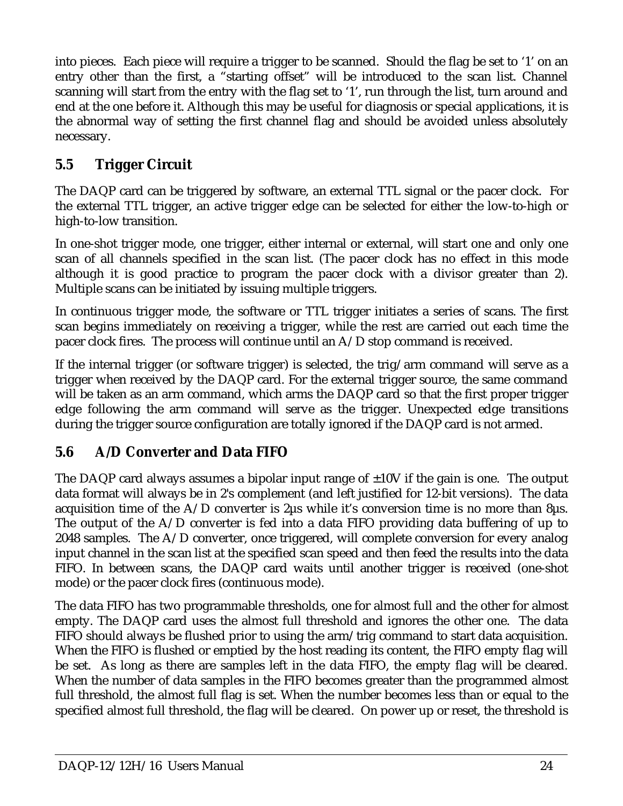into pieces. Each piece will require a trigger to be scanned. Should the flag be set to '1' on an entry other than the first, a "starting offset" will be introduced to the scan list. Channel scanning will start from the entry with the flag set to '1', run through the list, turn around and end at the one before it. Although this may be useful for diagnosis or special applications, it is the abnormal way of setting the first channel flag and should be avoided unless absolutely necessary.

# **5.5 Trigger Circuit**

The DAQP card can be triggered by software, an external TTL signal or the pacer clock. For the external TTL trigger, an active trigger edge can be selected for either the low-to-high or high-to-low transition.

In one-shot trigger mode, one trigger, either internal or external, will start one and only one scan of all channels specified in the scan list. (The pacer clock has no effect in this mode although it is good practice to program the pacer clock with a divisor greater than 2). Multiple scans can be initiated by issuing multiple triggers.

In continuous trigger mode, the software or TTL trigger initiates a series of scans. The first scan begins immediately on receiving a trigger, while the rest are carried out each time the pacer clock fires. The process will continue until an A/D stop command is received.

If the internal trigger (or software trigger) is selected, the trig/arm command will serve as a trigger when received by the DAQP card. For the external trigger source, the same command will be taken as an arm command, which arms the DAQP card so that the first proper trigger edge following the arm command will serve as the trigger. Unexpected edge transitions during the trigger source configuration are totally ignored if the DAQP card is not armed.

# **5.6 A/D Converter and Data FIFO**

The DAQP card always assumes a bipolar input range of  $\pm 10V$  if the gain is one. The output data format will always be in 2's complement (and left justified for 12-bit versions). The data acquisition time of the  $A/D$  converter is 2 $\mu$ s while it's conversion time is no more than 8 $\mu$ s. The output of the  $A/D$  converter is fed into a data FIFO providing data buffering of up to 2048 samples. The A/D converter, once triggered, will complete conversion for every analog input channel in the scan list at the specified scan speed and then feed the results into the data FIFO. In between scans, the DAQP card waits until another trigger is received (one-shot mode) or the pacer clock fires (continuous mode).

The data FIFO has two programmable thresholds, one for almost full and the other for almost empty. The DAQP card uses the almost full threshold and ignores the other one. The data FIFO should always be flushed prior to using the arm/trig command to start data acquisition. When the FIFO is flushed or emptied by the host reading its content, the FIFO empty flag will be set. As long as there are samples left in the data FIFO, the empty flag will be cleared. When the number of data samples in the FIFO becomes greater than the programmed almost full threshold, the almost full flag is set. When the number becomes less than or equal to the specified almost full threshold, the flag will be cleared. On power up or reset, the threshold is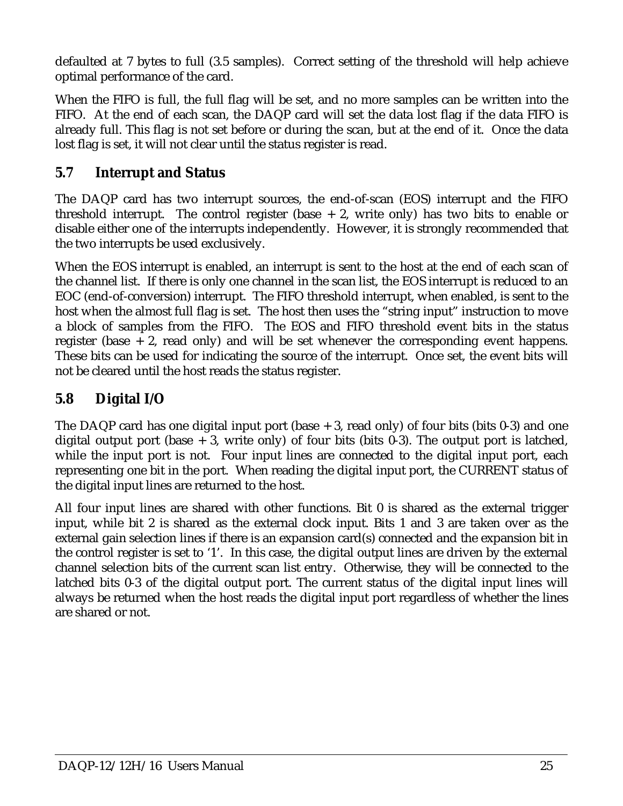defaulted at 7 bytes to full (3.5 samples). Correct setting of the threshold will help achieve optimal performance of the card.

When the FIFO is full, the full flag will be set, and no more samples can be written into the FIFO. At the end of each scan, the DAQP card will set the data lost flag if the data FIFO is already full. This flag is not set before or during the scan, but at the end of it. Once the data lost flag is set, it will not clear until the status register is read.

# **5.7 Interrupt and Status**

The DAQP card has two interrupt sources, the end-of-scan (EOS) interrupt and the FIFO threshold interrupt. The control register (base  $+2$ , write only) has two bits to enable or disable either one of the interrupts independently. However, it is strongly recommended that the two interrupts be used exclusively.

When the EOS interrupt is enabled, an interrupt is sent to the host at the end of each scan of the channel list. If there is only one channel in the scan list, the EOS interrupt is reduced to an EOC (end-of-conversion) interrupt. The FIFO threshold interrupt, when enabled, is sent to the host when the almost full flag is set. The host then uses the "string input" instruction to move a block of samples from the FIFO. The EOS and FIFO threshold event bits in the status register (base  $+2$ , read only) and will be set whenever the corresponding event happens. These bits can be used for indicating the source of the interrupt. Once set, the event bits will not be cleared until the host reads the status register.

# **5.8 Digital I/O**

The DAQP card has one digital input port (base  $+3$ , read only) of four bits (bits 0-3) and one digital output port (base  $+3$ , write only) of four bits (bits 0-3). The output port is latched, while the input port is not. Four input lines are connected to the digital input port, each representing one bit in the port. When reading the digital input port, the CURRENT status of the digital input lines are returned to the host.

All four input lines are shared with other functions. Bit 0 is shared as the external trigger input, while bit 2 is shared as the external clock input. Bits 1 and 3 are taken over as the external gain selection lines if there is an expansion card(s) connected and the expansion bit in the control register is set to '1'. In this case, the digital output lines are driven by the external channel selection bits of the current scan list entry. Otherwise, they will be connected to the latched bits 0-3 of the digital output port. The current status of the digital input lines will always be returned when the host reads the digital input port regardless of whether the lines are shared or not.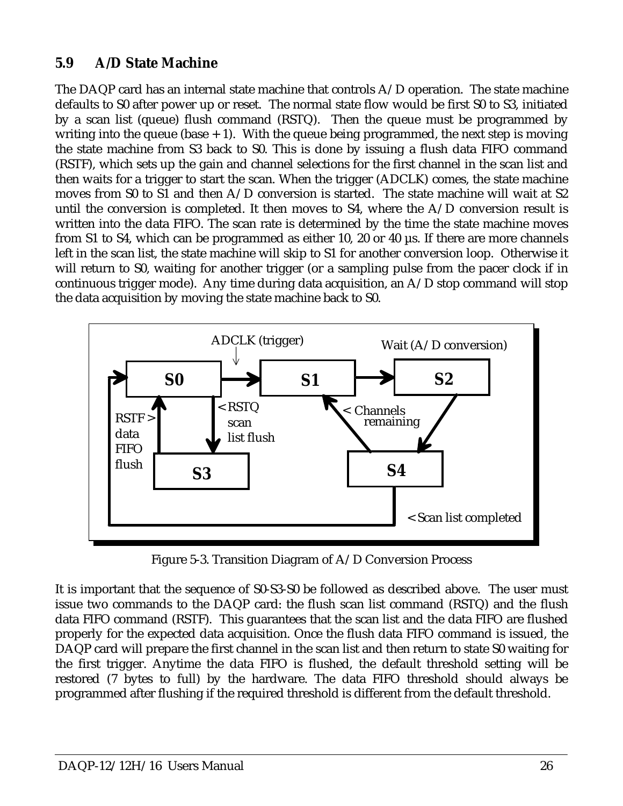# **5.9 A/D State Machine**

The DAQP card has an internal state machine that controls A/D operation. The state machine defaults to S0 after power up or reset. The normal state flow would be first S0 to S3, initiated by a scan list (queue) flush command (RSTQ). Then the queue must be programmed by writing into the queue (base  $+ 1$ ). With the queue being programmed, the next step is moving the state machine from S3 back to S0. This is done by issuing a flush data FIFO command (RSTF), which sets up the gain and channel selections for the first channel in the scan list and then waits for a trigger to start the scan. When the trigger (ADCLK) comes, the state machine moves from S0 to S1 and then A/D conversion is started. The state machine will wait at S2 until the conversion is completed. It then moves to  $S4$ , where the  $A/D$  conversion result is written into the data FIFO. The scan rate is determined by the time the state machine moves from S1 to S4, which can be programmed as either 10, 20 or 40 µs. If there are more channels left in the scan list, the state machine will skip to S1 for another conversion loop. Otherwise it will return to S0, waiting for another trigger (or a sampling pulse from the pacer clock if in continuous trigger mode). Any time during data acquisition, an A/D stop command will stop the data acquisition by moving the state machine back to S0.



Figure 5-3. Transition Diagram of A/D Conversion Process

It is important that the sequence of S0-S3-S0 be followed as described above. The user must issue two commands to the DAQP card: the flush scan list command (RSTQ) and the flush data FIFO command (RSTF). This guarantees that the scan list and the data FIFO are flushed properly for the expected data acquisition. Once the flush data FIFO command is issued, the DAQP card will prepare the first channel in the scan list and then return to state S0 waiting for the first trigger. Anytime the data FIFO is flushed, the default threshold setting will be restored (7 bytes to full) by the hardware. The data FIFO threshold should always be programmed after flushing if the required threshold is different from the default threshold.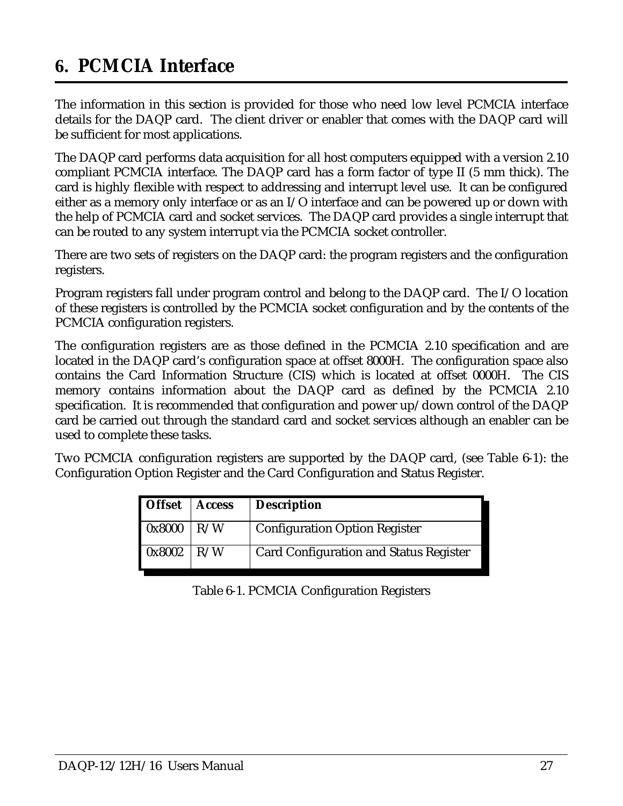# <span id="page-26-0"></span>**6. PCMCIA Interface**

The information in this section is provided for those who need low level PCMCIA interface details for the DAQP card. The client driver or enabler that comes with the DAQP card will be sufficient for most applications.

The DAQP card performs data acquisition for all host computers equipped with a version 2.10 compliant PCMCIA interface. The DAQP card has a form factor of type II (5 mm thick). The card is highly flexible with respect to addressing and interrupt level use. It can be configured either as a memory only interface or as an I/O interface and can be powered up or down with the help of PCMCIA card and socket services. The DAQP card provides a single interrupt that can be routed to any system interrupt via the PCMCIA socket controller.

There are two sets of registers on the DAQP card: the program registers and the configuration registers.

Program registers fall under program control and belong to the DAQP card. The I/O location of these registers is controlled by the PCMCIA socket configuration and by the contents of the PCMCIA configuration registers.

The configuration registers are as those defined in the PCMCIA 2.10 specification and are located in the DAQP card's configuration space at offset 8000H. The configuration space also contains the Card Information Structure (CIS) which is located at offset 0000H. The CIS memory contains information about the DAQP card as defined by the PCMCIA 2.10 specification. It is recommended that configuration and power up/down control of the DAQP card be carried out through the standard card and socket services although an enabler can be used to complete these tasks.

Two PCMCIA configuration registers are supported by the DAQP card, (see Table 6-1): the Configuration Option Register and the Card Configuration and Status Register.

| <b>Offset</b> | <b>Access</b> | <b>Description</b>                            |
|---------------|---------------|-----------------------------------------------|
| 0x8000        | R/W           | <b>Configuration Option Register</b>          |
| 0x8002        | R/W           | <b>Card Configuration and Status Register</b> |

Table 6-1. PCMCIA Configuration Registers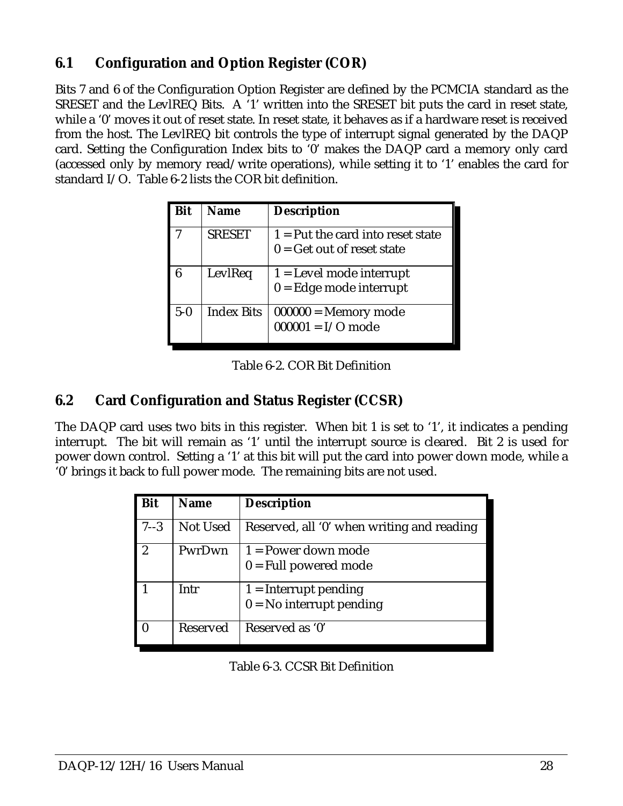# **6.1 Configuration and Option Register (COR)**

Bits 7 and 6 of the Configuration Option Register are defined by the PCMCIA standard as the SRESET and the LevlREQ Bits. A '1' written into the SRESET bit puts the card in reset state, while a '0' moves it out of reset state. In reset state, it behaves as if a hardware reset is received from the host. The LevlREQ bit controls the type of interrupt signal generated by the DAQP card. Setting the Configuration Index bits to '0' makes the DAQP card a memory only card (accessed only by memory read/write operations), while setting it to '1' enables the card for standard I/O. Table 6-2 lists the COR bit definition.

| Bit   | <b>Name</b>       | <b>Description</b>                                                             |
|-------|-------------------|--------------------------------------------------------------------------------|
|       | <b>SRESET</b>     | $\overline{1}$ = Put the card into reset state<br>$0 =$ Get out of reset state |
| հ     | LevlReq           | $1 = Level mode interrupt$<br>$0 =$ Edge mode interrupt                        |
| $5-0$ | <b>Index Bits</b> | $000000 =$ Memory mode<br>$000001 = I/O$ mode                                  |

Table 6-2. COR Bit Definition

## **6.2 Card Configuration and Status Register (CCSR)**

The DAQP card uses two bits in this register. When bit 1 is set to '1', it indicates a pending interrupt. The bit will remain as '1' until the interrupt source is cleared. Bit 2 is used for power down control. Setting a '1' at this bit will put the card into power down mode, while a '0' brings it back to full power mode. The remaining bits are not used.

| <b>Bit</b>     | <b>Name</b>     | <b>Description</b>                         |
|----------------|-----------------|--------------------------------------------|
| $7 - 3$        | <b>Not Used</b> | Reserved, all '0' when writing and reading |
| $\overline{2}$ | PwrDwn          | $1 = Power$ down mode                      |
|                |                 | $0 =$ Full powered mode                    |
|                | Intr            | $1 =$ Interrupt pending                    |
|                |                 | $0 = No$ interrupt pending                 |
|                | Reserved        | Reserved as '0'                            |

Table 6-3. CCSR Bit Definition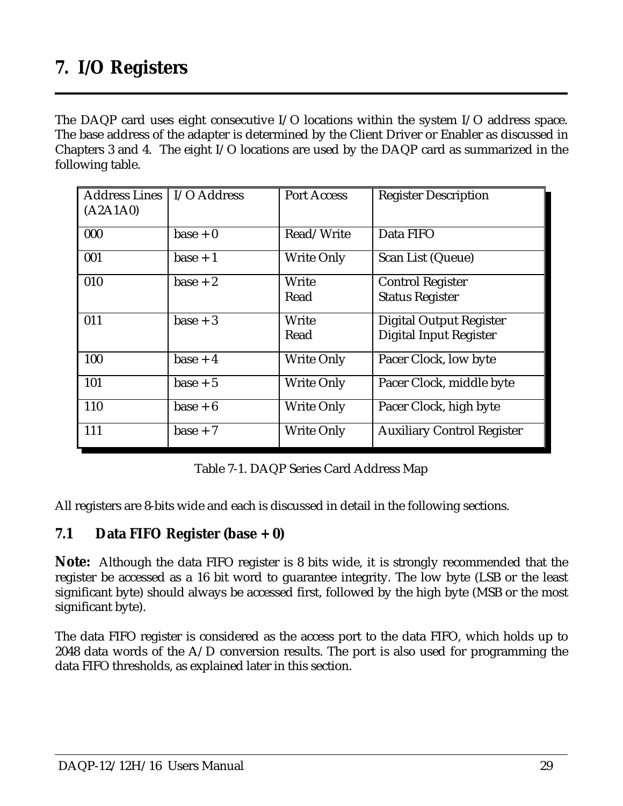<span id="page-28-0"></span>The DAQP card uses eight consecutive I/O locations within the system I/O address space. The base address of the adapter is determined by the Client Driver or Enabler as discussed in Chapters 3 and 4. The eight I/O locations are used by the DAQP card as summarized in the following table.

| <b>Address Lines</b><br>(A2A1A0) | I/O Address | <b>Port Access</b> | <b>Register Description</b>       |
|----------------------------------|-------------|--------------------|-----------------------------------|
| 000                              | $base + 0$  | Read/Write         | Data FIFO                         |
| 001                              | $base + 1$  | <b>Write Only</b>  | Scan List (Queue)                 |
| 010                              | $base + 2$  | Write              | <b>Control Register</b>           |
|                                  |             | Read               | <b>Status Register</b>            |
| 011                              | $base + 3$  | Write              | <b>Digital Output Register</b>    |
|                                  |             | Read               | <b>Digital Input Register</b>     |
| 100                              | base $+4$   | <b>Write Only</b>  | Pacer Clock, low byte             |
| 101                              | $base + 5$  | <b>Write Only</b>  | Pacer Clock, middle byte          |
| 110                              | $base + 6$  | <b>Write Only</b>  | Pacer Clock, high byte            |
| 111                              | $base + 7$  | <b>Write Only</b>  | <b>Auxiliary Control Register</b> |

Table 7-1. DAQP Series Card Address Map

All registers are 8-bits wide and each is discussed in detail in the following sections.

## **7.1 Data FIFO Register (base + 0)**

**Note:** Although the data FIFO register is 8 bits wide, it is strongly recommended that the register be accessed as a 16 bit word to guarantee integrity. The low byte (LSB or the least significant byte) should always be accessed first, followed by the high byte (MSB or the most significant byte).

The data FIFO register is considered as the access port to the data FIFO, which holds up to 2048 data words of the  $A/D$  conversion results. The port is also used for programming the data FIFO thresholds, as explained later in this section.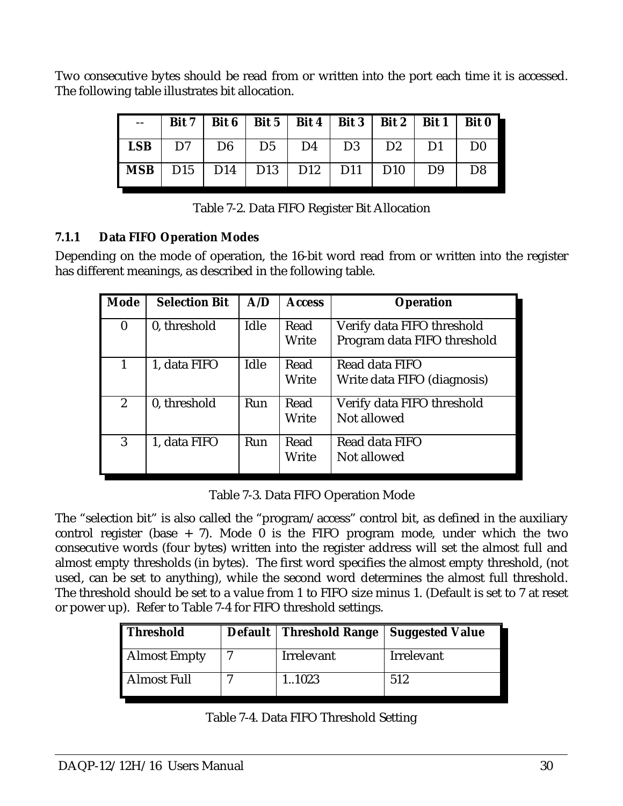Two consecutive bytes should be read from or written into the port each time it is accessed. The following table illustrates bit allocation.

|                                              |  |  | --   Bit 7   Bit 6   Bit 5   Bit 4   Bit 3   Bit 2   Bit 1   Bit 0 |  |                |
|----------------------------------------------|--|--|--------------------------------------------------------------------|--|----------------|
|                                              |  |  | <b>LSB</b>   D7   D6   D5   D4   D3   D2   D1   D0                 |  |                |
| MSB   D15   D14   D13   D12   D11   D10   D9 |  |  |                                                                    |  | D <sub>8</sub> |

| Table 7-2. Data FIFO Register Bit Allocation |  |
|----------------------------------------------|--|
|----------------------------------------------|--|

#### **7.1.1 Data FIFO Operation Modes**

Depending on the mode of operation, the 16-bit word read from or written into the register has different meanings, as described in the following table.

| Mode           | <b>Selection Bit</b> | A/D  | <b>Access</b> | <b>Operation</b>                                          |
|----------------|----------------------|------|---------------|-----------------------------------------------------------|
| $\bf{0}$       | 0, threshold         | Idle | Read<br>Write | Verify data FIFO threshold<br>Program data FIFO threshold |
| $\mathbf{1}$   | 1, data FIFO         | Idle | Read<br>Write | Read data FIFO<br>Write data FIFO (diagnosis)             |
| $\overline{2}$ | 0, threshold         | Run  | Read<br>Write | Verify data FIFO threshold<br>Not allowed                 |
| 3              | 1, data FIFO         | Run  | Read<br>Write | Read data FIFO<br>Not allowed                             |

Table 7-3. Data FIFO Operation Mode

The "selection bit" is also called the "program/access" control bit, as defined in the auxiliary control register (base  $+ 7$ ). Mode 0 is the FIFO program mode, under which the two consecutive words (four bytes) written into the register address will set the almost full and almost empty thresholds (in bytes). The first word specifies the almost empty threshold, (not used, can be set to anything), while the second word determines the almost full threshold. The threshold should be set to a value from 1 to FIFO size minus 1. (Default is set to 7 at reset or power up). Refer to Table 7-4 for FIFO threshold settings.

| <b>Threshold</b>    | Default   Threshold Range   Suggested Value |            |
|---------------------|---------------------------------------------|------------|
| <b>Almost Empty</b> | Irrelevant                                  | Irrelevant |
| <b>Almost Full</b>  | 1.1023                                      | 512        |

|  |  |  | Table 7-4. Data FIFO Threshold Setting |  |
|--|--|--|----------------------------------------|--|
|--|--|--|----------------------------------------|--|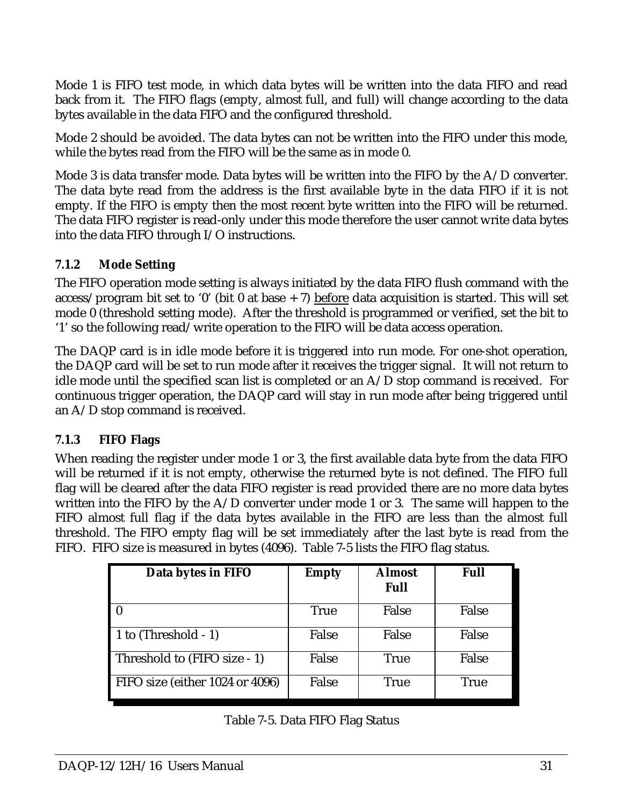Mode 1 is FIFO test mode, in which data bytes will be written into the data FIFO and read back from it. The FIFO flags (empty, almost full, and full) will change according to the data bytes available in the data FIFO and the configured threshold.

Mode 2 should be avoided. The data bytes can not be written into the FIFO under this mode, while the bytes read from the FIFO will be the same as in mode 0.

Mode 3 is data transfer mode. Data bytes will be written into the FIFO by the A/D converter. The data byte read from the address is the first available byte in the data FIFO if it is not empty. If the FIFO is empty then the most recent byte written into the FIFO will be returned. The data FIFO register is read-only under this mode therefore the user cannot write data bytes into the data FIFO through I/O instructions.

#### **7.1.2 Mode Setting**

The FIFO operation mode setting is always initiated by the data FIFO flush command with the access/program bit set to '0' (bit 0 at base  $+$  7) before data acquisition is started. This will set mode 0 (threshold setting mode). After the threshold is programmed or verified, set the bit to '1' so the following read/write operation to the FIFO will be data access operation.

The DAQP card is in idle mode before it is triggered into run mode. For one-shot operation, the DAQP card will be set to run mode after it receives the trigger signal. It will not return to idle mode until the specified scan list is completed or an A/D stop command is received. For continuous trigger operation, the DAQP card will stay in run mode after being triggered until an A/D stop command is received.

#### **7.1.3 FIFO Flags**

When reading the register under mode 1 or 3, the first available data byte from the data FIFO will be returned if it is not empty, otherwise the returned byte is not defined. The FIFO full flag will be cleared after the data FIFO register is read provided there are no more data bytes written into the FIFO by the A/D converter under mode 1 or 3. The same will happen to the FIFO almost full flag if the data bytes available in the FIFO are less than the almost full threshold. The FIFO empty flag will be set immediately after the last byte is read from the FIFO. FIFO size is measured in bytes (4096).Table 7-5 lists the FIFO flag status.

| Data bytes in FIFO              | <b>Empty</b> | <b>Almost</b><br><b>Full</b> | <b>Full</b> |
|---------------------------------|--------------|------------------------------|-------------|
|                                 | <b>True</b>  | False                        | False       |
| 1 to $(Threshold - 1)$          | False        | False                        | False       |
| Threshold to (FIFO size - 1)    | False        | <b>True</b>                  | False       |
| FIFO size (either 1024 or 4096) | False        | <b>True</b>                  | <b>True</b> |

Table 7-5. Data FIFO Flag Status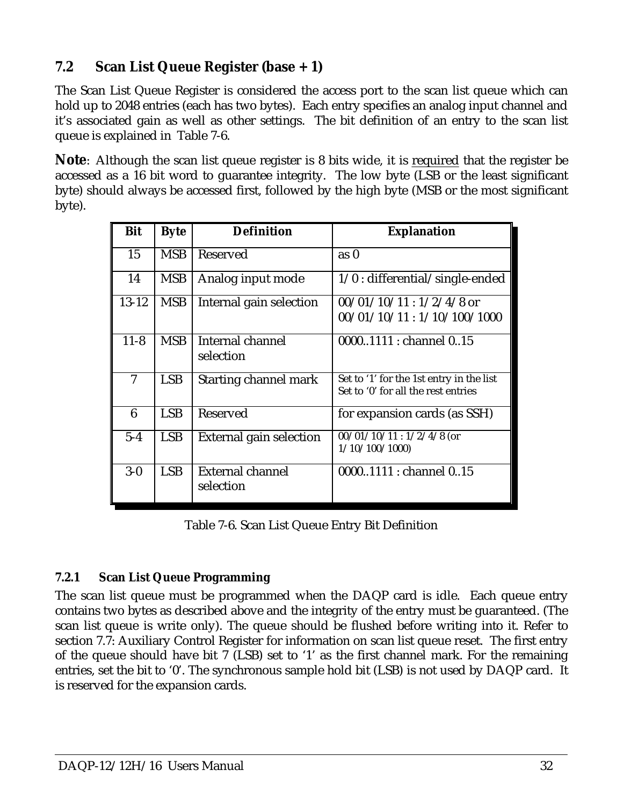# **7.2 Scan List Queue Register (base + 1)**

The Scan List Queue Register is considered the access port to the scan list queue which can hold up to 2048 entries (each has two bytes). Each entry specifies an analog input channel and it's associated gain as well as other settings. The bit definition of an entry to the scan list queue is explained in Table 7-6.

**Note**: Although the scan list queue register is 8 bits wide, it is required that the register be accessed as a 16 bit word to guarantee integrity. The low byte (LSB or the least significant byte) should always be accessed first, followed by the high byte (MSB or the most significant byte).

| <b>Bit</b> | <b>Byte</b> | <b>Definition</b>            | <b>Explanation</b>                       |
|------------|-------------|------------------------------|------------------------------------------|
|            |             |                              |                                          |
| 15         | <b>MSB</b>  | <b>Reserved</b>              | as <sub>0</sub>                          |
| 14         | <b>MSB</b>  | Analog input mode            | $1/0$ : differential/single-ended        |
| $13 - 12$  | <b>MSB</b>  | Internal gain selection      | $00/01/10/11:1/2/4/8$ or                 |
|            |             |                              | 00/01/10/11:1/10/100/1000                |
| $11 - 8$   | <b>MSB</b>  | Internal channel             | 00001111 : channel 015                   |
|            |             | selection                    |                                          |
| 7          | <b>LSB</b>  | <b>Starting channel mark</b> | Set to '1' for the 1st entry in the list |
|            |             |                              | Set to '0' for all the rest entries      |
| 6          | <b>LSB</b>  | Reserved                     | for expansion cards (as SSH)             |
| $5 - 4$    | <b>LSB</b>  | External gain selection      | $00/01/10/11:1/2/4/8$ (or                |
|            |             |                              | 1/10/100/1000                            |
| $3-0$      | <b>LSB</b>  | <b>External channel</b>      | 00001111 : channel 015                   |
|            |             | selection                    |                                          |

Table 7-6. Scan List Queue Entry Bit Definition

#### **7.2.1 Scan List Queue Programming**

The scan list queue must be programmed when the DAQP card is idle. Each queue entry contains two bytes as described above and the integrity of the entry must be guaranteed. (The scan list queue is write only). The queue should be flushed before writing into it. Refer to section 7.7: Auxiliary Control Register for information on scan list queue reset. The first entry of the queue should have bit 7 (LSB) set to '1' as the first channel mark. For the remaining entries, set the bit to '0'. The synchronous sample hold bit (LSB) is not used by DAQP card. It is reserved for the expansion cards.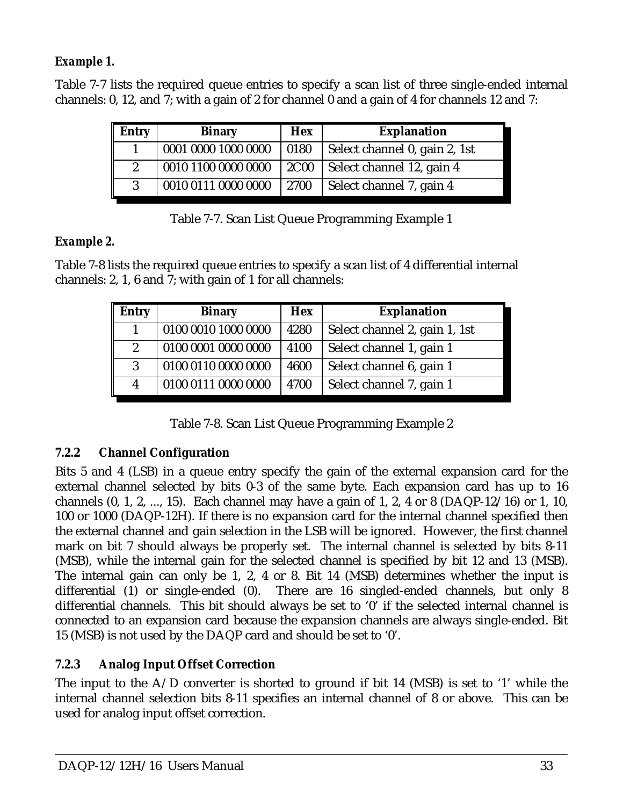## *Example 1.*

Table 7-7 lists the required queue entries to specify a scan list of three single-ended internal channels: 0, 12, and 7; with a gain of 2 for channel 0 and a gain of 4 for channels 12 and 7:

| <b>Entry</b>     | <b>Binary</b>       | <b>Hex</b>  | <b>Explanation</b>            |
|------------------|---------------------|-------------|-------------------------------|
|                  | 0001 0000 1000 0000 | 0180        | Select channel 0, gain 2, 1st |
| $\boldsymbol{2}$ | 0010 1100 0000 0000 | <b>2C00</b> | Select channel 12, gain 4     |
| 3                | 0010 0111 0000 0000 | 2700        | Select channel 7, gain 4      |

| Table 7-7. Scan List Queue Programming Example 1 |  |  |
|--------------------------------------------------|--|--|
|                                                  |  |  |

#### *Example 2.*

Table 7-8 lists the required queue entries to specify a scan list of 4 differential internal channels: 2, 1, 6 and 7; with gain of 1 for all channels:

| <b>Entry</b>     | <b>Binary</b>       | <b>Hex</b> | <b>Explanation</b>            |
|------------------|---------------------|------------|-------------------------------|
|                  | 0100 0010 1000 0000 | 4280       | Select channel 2, gain 1, 1st |
| $\boldsymbol{2}$ | 0100 0001 0000 0000 | 4100       | Select channel 1, gain 1      |
| 3                | 0100 0110 0000 0000 | 4600       | Select channel 6, gain 1      |
| 4                | 0100 0111 0000 0000 | 4700       | Select channel 7, gain 1      |

Table 7-8. Scan List Queue Programming Example 2

#### **7.2.2 Channel Configuration**

Bits 5 and 4 (LSB) in a queue entry specify the gain of the external expansion card for the external channel selected by bits 0-3 of the same byte. Each expansion card has up to 16 channels  $(0, 1, 2, ..., 15)$ . Each channel may have a gain of 1, 2, 4 or 8  $(DAQP-12/16)$  or 1, 10, 100 or 1000 (DAQP-12H). If there is no expansion card for the internal channel specified then the external channel and gain selection in the LSB will be ignored. However, the first channel mark on bit 7 should always be properly set. The internal channel is selected by bits 8-11 (MSB), while the internal gain for the selected channel is specified by bit 12 and 13 (MSB). The internal gain can only be 1, 2, 4 or 8. Bit 14 (MSB) determines whether the input is differential (1) or single-ended (0). There are 16 singled-ended channels, but only 8 differential channels. This bit should always be set to '0' if the selected internal channel is connected to an expansion card because the expansion channels are always single-ended. Bit 15 (MSB) is not used by the DAQP card and should be set to '0'.

## **7.2.3 Analog Input Offset Correction**

The input to the  $A/D$  converter is shorted to ground if bit 14 (MSB) is set to '1' while the internal channel selection bits 8-11 specifies an internal channel of 8 or above. This can be used for analog input offset correction.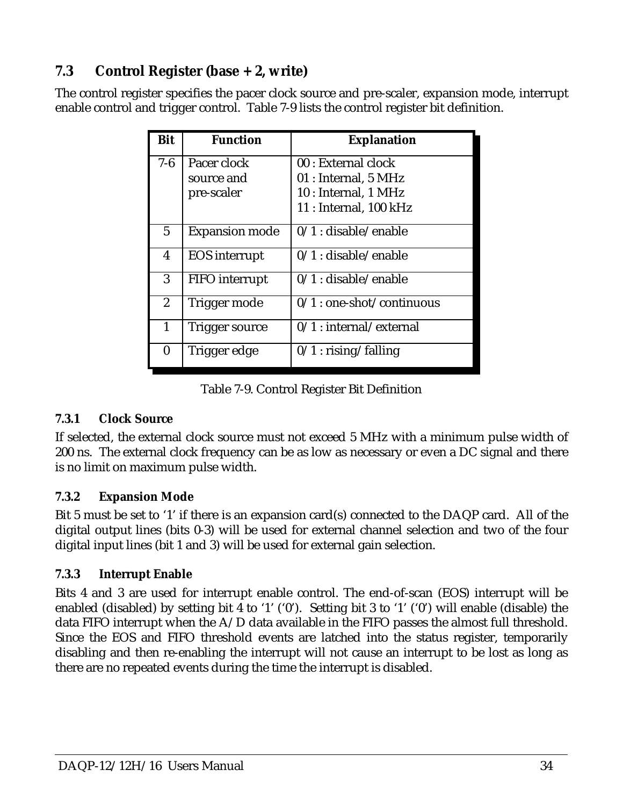# **7.3 Control Register (base + 2, write)**

The control register specifies the pacer clock source and pre-scaler, expansion mode, interrupt enable control and trigger control. Table 7-9 lists the control register bit definition.

| <b>Bit</b>       | <b>Function</b>       | <b>Explanation</b>                |
|------------------|-----------------------|-----------------------------------|
| $7 - 6$          | Pacer clock           | 00 : External clock               |
|                  | source and            | 01 : Internal, 5 MHz              |
|                  | pre-scaler            | 10 : Internal, 1 MHz              |
|                  |                       | $11:$ Internal, $100 \text{ kHz}$ |
| $5\overline{)}$  | <b>Expansion mode</b> | $0/1$ : disable/enable            |
| $\boldsymbol{4}$ | <b>EOS</b> interrupt  | $0/1$ : disable/enable            |
| 3                | <b>FIFO</b> interrupt | $0/1$ : disable/enable            |
| $\overline{2}$   | Trigger mode          | $0/1$ : one-shot/continuous       |
| 1                | Trigger source        | $0/1$ : internal/external         |
| $\bf{0}$         | Trigger edge          | $0/1$ : rising/falling            |

Table 7-9. Control Register Bit Definition

#### **7.3.1 Clock Source**

If selected, the external clock source must not exceed 5 MHz with a minimum pulse width of 200 ns. The external clock frequency can be as low as necessary or even a DC signal and there is no limit on maximum pulse width.

#### **7.3.2 Expansion Mode**

Bit 5 must be set to '1' if there is an expansion card(s) connected to the DAQP card. All of the digital output lines (bits 0-3) will be used for external channel selection and two of the four digital input lines (bit 1 and 3) will be used for external gain selection.

#### **7.3.3 Interrupt Enable**

Bits 4 and 3 are used for interrupt enable control. The end-of-scan (EOS) interrupt will be enabled (disabled) by setting bit 4 to '1' ('0'). Setting bit 3 to '1' ('0') will enable (disable) the data FIFO interrupt when the A/D data available in the FIFO passes the almost full threshold. Since the EOS and FIFO threshold events are latched into the status register, temporarily disabling and then re-enabling the interrupt will not cause an interrupt to be lost as long as there are no repeated events during the time the interrupt is disabled.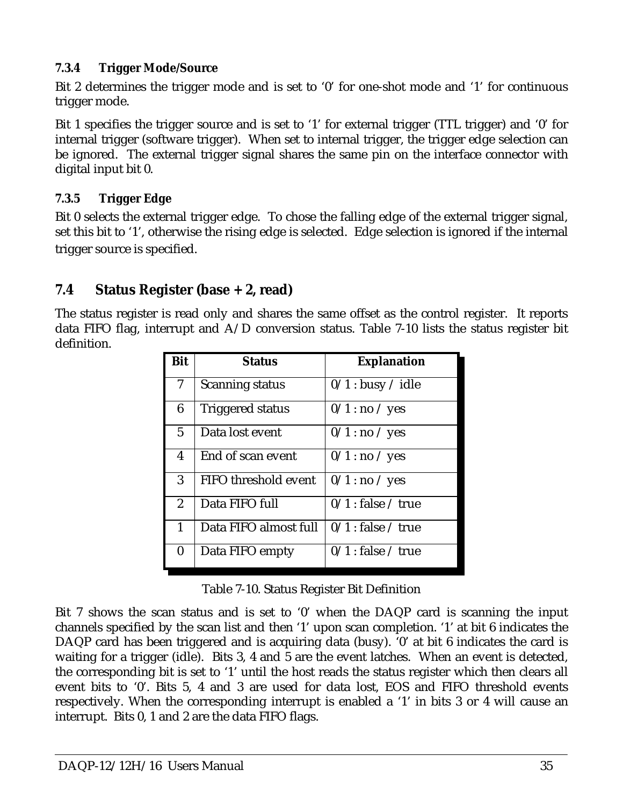#### **7.3.4 Trigger Mode/Source**

Bit 2 determines the trigger mode and is set to '0' for one-shot mode and '1' for continuous trigger mode.

Bit 1 specifies the trigger source and is set to '1' for external trigger (TTL trigger) and '0' for internal trigger (software trigger). When set to internal trigger, the trigger edge selection can be ignored. The external trigger signal shares the same pin on the interface connector with digital input bit 0.

## **7.3.5 Trigger Edge**

Bit 0 selects the external trigger edge. To chose the falling edge of the external trigger signal, set this bit to '1', otherwise the rising edge is selected. Edge selection is ignored if the internal trigger source is specified.

# **7.4 Status Register (base + 2, read)**

The status register is read only and shares the same offset as the control register. It reports data FIFO flag, interrupt and A/D conversion status. Table 7-10 lists the status register bit definition.

| <b>Bit</b>     | <b>Status</b>               | <b>Explanation</b>   |  |
|----------------|-----------------------------|----------------------|--|
| 7              | <b>Scanning status</b>      | $0/1$ : busy / idle  |  |
| 6              | <b>Triggered status</b>     | $0/1$ : no / yes     |  |
| $\overline{5}$ | Data lost event             | $0/1$ : no / yes     |  |
| 4              | End of scan event           | $0/1$ : no / yes     |  |
| 3              | <b>FIFO</b> threshold event | $0/1$ : no / yes     |  |
| $\overline{2}$ | Data FIFO full              | $0/1$ : false / true |  |
| 1              | Data FIFO almost full       | $0/1$ : false / true |  |
| $\bf{0}$       | Data FIFO empty             | $0/1$ : false / true |  |

Table 7-10. Status Register Bit Definition

Bit 7 shows the scan status and is set to '0' when the DAQP card is scanning the input channels specified by the scan list and then '1' upon scan completion. '1' at bit 6 indicates the DAQP card has been triggered and is acquiring data (busy). '0' at bit 6 indicates the card is waiting for a trigger (idle). Bits 3, 4 and 5 are the event latches. When an event is detected, the corresponding bit is set to '1' until the host reads the status register which then clears all event bits to '0'. Bits 5, 4 and 3 are used for data lost, EOS and FIFO threshold events respectively. When the corresponding interrupt is enabled a '1' in bits 3 or 4 will cause an interrupt. Bits 0, 1 and 2 are the data FIFO flags.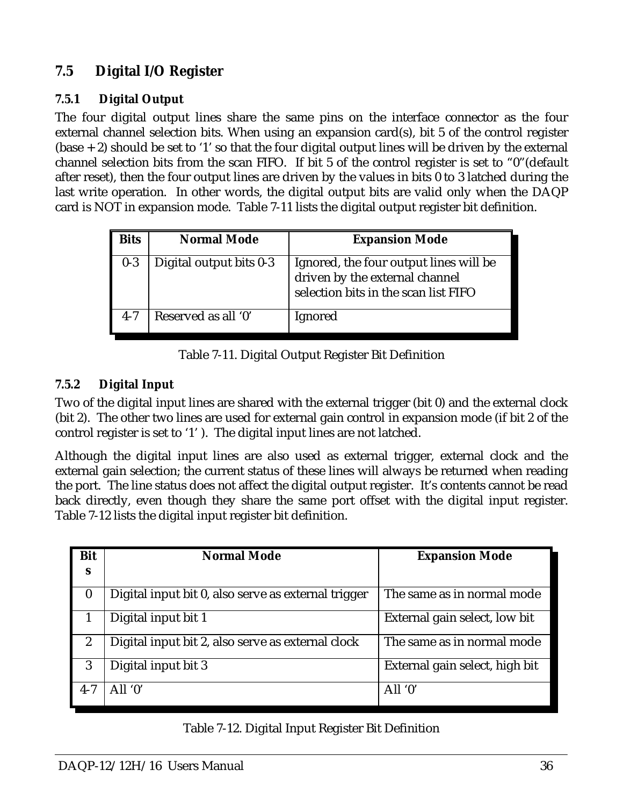# **7.5 Digital I/O Register**

#### **7.5.1 Digital Output**

The four digital output lines share the same pins on the interface connector as the four external channel selection bits. When using an expansion card(s), bit 5 of the control register  $(base + 2)$  should be set to '1' so that the four digital output lines will be driven by the external channel selection bits from the scan FIFO. If bit 5 of the control register is set to "0"(default after reset), then the four output lines are driven by the values in bits 0 to 3 latched during the last write operation. In other words, the digital output bits are valid only when the DAQP card is NOT in expansion mode. Table 7-11 lists the digital output register bit definition.

| <b>Bits</b> | <b>Normal Mode</b>      | <b>Expansion Mode</b>                                                                                            |
|-------------|-------------------------|------------------------------------------------------------------------------------------------------------------|
| $0-3$       | Digital output bits 0-3 | Ignored, the four output lines will be<br>driven by the external channel<br>selection bits in the scan list FIFO |
| $4 - 7$     | Reserved as all '0'     | Ignored                                                                                                          |

Table 7-11. Digital Output Register Bit Definition

#### **7.5.2 Digital Input**

Two of the digital input lines are shared with the external trigger (bit 0) and the external clock (bit 2). The other two lines are used for external gain control in expansion mode (if bit 2 of the control register is set to '1' ). The digital input lines are not latched.

Although the digital input lines are also used as external trigger, external clock and the external gain selection; the current status of these lines will always be returned when reading the port. The line status does not affect the digital output register. It's contents cannot be read back directly, even though they share the same port offset with the digital input register. Table 7-12 lists the digital input register bit definition.

| <b>Bit</b>       | <b>Normal Mode</b>                                  | <b>Expansion Mode</b>          |
|------------------|-----------------------------------------------------|--------------------------------|
| S                |                                                     |                                |
| $\boldsymbol{0}$ | Digital input bit 0, also serve as external trigger | The same as in normal mode     |
|                  | Digital input bit 1                                 | External gain select, low bit  |
| $\boldsymbol{2}$ | Digital input bit 2, also serve as external clock   | The same as in normal mode     |
| 3                | Digital input bit 3                                 | External gain select, high bit |
| $4 - 7$          | All $0'$                                            | All $0'$                       |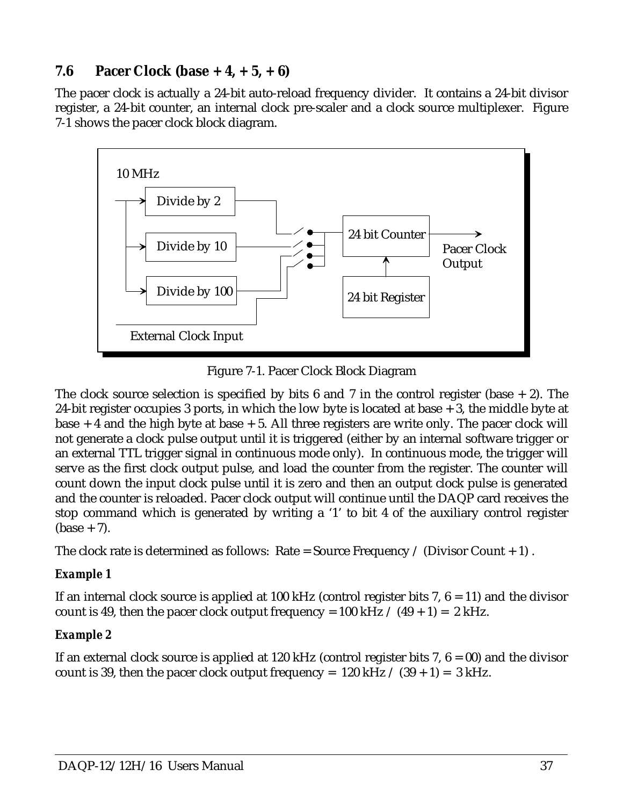# **7.6 Pacer Clock (base + 4, + 5, + 6)**

The pacer clock is actually a 24-bit auto-reload frequency divider. It contains a 24-bit divisor register, a 24-bit counter, an internal clock pre-scaler and a clock source multiplexer. Figure 7-1 shows the pacer clock block diagram.



Figure 7-1. Pacer Clock Block Diagram

The clock source selection is specified by bits 6 and 7 in the control register (base  $+ 2$ ). The 24-bit register occupies 3 ports, in which the low byte is located at base + 3, the middle byte at base  $+$  4 and the high byte at base  $+$  5. All three registers are write only. The pacer clock will not generate a clock pulse output until it is triggered (either by an internal software trigger or an external TTL trigger signal in continuous mode only). In continuous mode, the trigger will serve as the first clock output pulse, and load the counter from the register. The counter will count down the input clock pulse until it is zero and then an output clock pulse is generated and the counter is reloaded. Pacer clock output will continue until the DAQP card receives the stop command which is generated by writing a '1' to bit 4 of the auxiliary control register  $(\text{base} + 7)$ .

The clock rate is determined as follows: Rate = Source Frequency / (Divisor Count  $+ 1$ ).

#### *Example 1*

If an internal clock source is applied at 100 kHz (control register bits 7,  $6 = 11$ ) and the divisor count is 49, then the pacer clock output frequency =  $100$  kHz  $/$  (49 + 1) = 2 kHz.

## *Example 2*

If an external clock source is applied at 120 kHz (control register bits 7,  $6 = 00$ ) and the divisor count is 39, then the pacer clock output frequency =  $120$  kHz  $\div$  (39 + 1) = 3 kHz.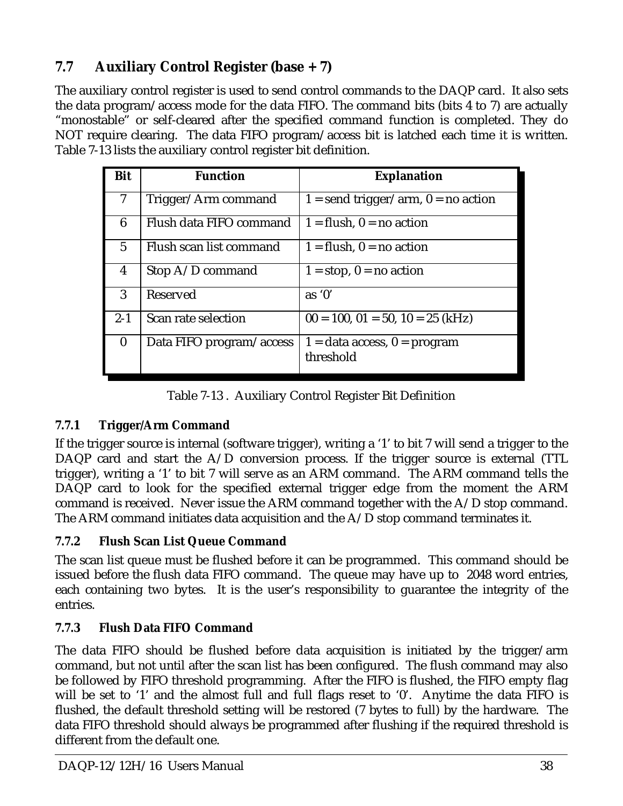# **7.7 Auxiliary Control Register (base + 7)**

The auxiliary control register is used to send control commands to the DAQP card. It also sets the data program/access mode for the data FIFO. The command bits (bits 4 to 7) are actually "monostable" or self-cleared after the specified command function is completed. They do NOT require clearing. The data FIFO program/access bit is latched each time it is written. Table 7-13 lists the auxiliary control register bit definition.

| Bit              | <b>Function</b>          | <b>Explanation</b>                            |
|------------------|--------------------------|-----------------------------------------------|
| 7                | Trigger/Arm command      | $1 =$ send trigger/arm, $0 =$ no action       |
| 6                | Flush data FIFO command  | $1 =$ flush, $0 =$ no action                  |
| $\overline{5}$   | Flush scan list command  | $1 =$ flush, $0 =$ no action                  |
| 4                | Stop A/D command         | $1 = stop, 0 = no action$                     |
| 3                | Reserved                 | as $0'$                                       |
| $2 - 1$          | Scan rate selection      | $00 = 100$ , $01 = 50$ , $10 = 25$ (kHz)      |
| $\boldsymbol{0}$ | Data FIFO program/access | $1 =$ data access, $0 =$ program<br>threshold |

Table 7-13 . Auxiliary Control Register Bit Definition

## **7.7.1 Trigger/Arm Command**

If the trigger source is internal (software trigger), writing a '1' to bit 7 will send a trigger to the DAQP card and start the A/D conversion process. If the trigger source is external (TTL trigger), writing a '1' to bit 7 will serve as an ARM command. The ARM command tells the DAQP card to look for the specified external trigger edge from the moment the ARM command is received. Never issue the ARM command together with the A/D stop command. The ARM command initiates data acquisition and the A/D stop command terminates it.

## **7.7.2 Flush Scan List Queue Command**

The scan list queue must be flushed before it can be programmed. This command should be issued before the flush data FIFO command. The queue may have up to 2048 word entries, each containing two bytes. It is the user's responsibility to guarantee the integrity of the entries.

# **7.7.3 Flush Data FIFO Command**

The data FIFO should be flushed before data acquisition is initiated by the trigger/arm command, but not until after the scan list has been configured. The flush command may also be followed by FIFO threshold programming. After the FIFO is flushed, the FIFO empty flag will be set to '1' and the almost full and full flags reset to '0'. Anytime the data FIFO is flushed, the default threshold setting will be restored (7 bytes to full) by the hardware. The data FIFO threshold should always be programmed after flushing if the required threshold is different from the default one.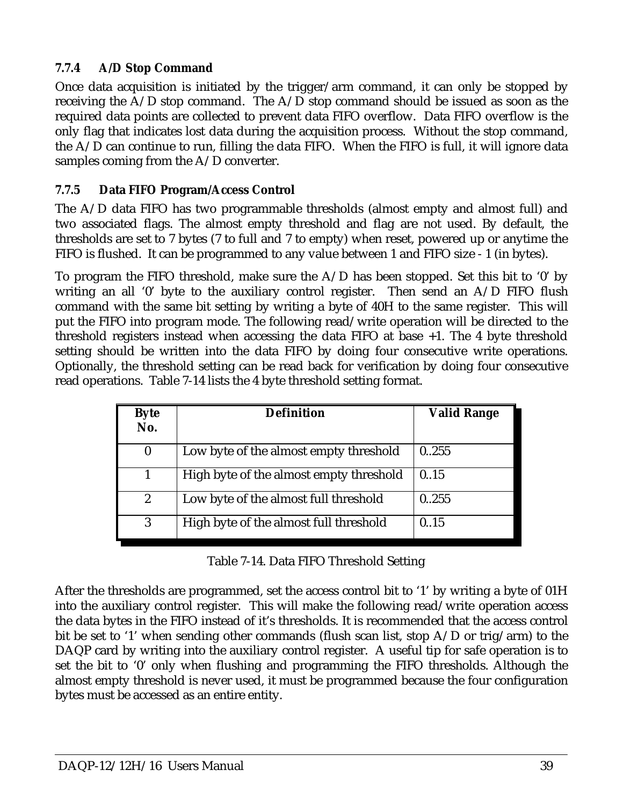#### **7.7.4 A/D Stop Command**

Once data acquisition is initiated by the trigger/arm command, it can only be stopped by receiving the A/D stop command. The A/D stop command should be issued as soon as the required data points are collected to prevent data FIFO overflow. Data FIFO overflow is the only flag that indicates lost data during the acquisition process. Without the stop command, the A/D can continue to run, filling the data FIFO. When the FIFO is full, it will ignore data samples coming from the A/D converter.

#### **7.7.5 Data FIFO Program/Access Control**

The A/D data FIFO has two programmable thresholds (almost empty and almost full) and two associated flags. The almost empty threshold and flag are not used. By default, the thresholds are set to 7 bytes (7 to full and 7 to empty) when reset, powered up or anytime the FIFO is flushed. It can be programmed to any value between 1 and FIFO size - 1 (in bytes).

To program the FIFO threshold, make sure the  $A/D$  has been stopped. Set this bit to '0' by writing an all '0' byte to the auxiliary control register. Then send an A/D FIFO flush command with the same bit setting by writing a byte of 40H to the same register. This will put the FIFO into program mode. The following read/write operation will be directed to the threshold registers instead when accessing the data FIFO at base +1. The 4 byte threshold setting should be written into the data FIFO by doing four consecutive write operations. Optionally, the threshold setting can be read back for verification by doing four consecutive read operations. Table 7-14 lists the 4 byte threshold setting format.

| <b>Byte</b><br>No. | <b>Definition</b>                       | <b>Valid Range</b> |
|--------------------|-----------------------------------------|--------------------|
| $\bf{0}$           | Low byte of the almost empty threshold  | 0.255              |
|                    | High byte of the almost empty threshold | 0.15               |
| $\overline{c}$     | Low byte of the almost full threshold   | 0255               |
| 3                  | High byte of the almost full threshold  | 0.15               |

#### Table 7-14. Data FIFO Threshold Setting

After the thresholds are programmed, set the access control bit to '1' by writing a byte of 01H into the auxiliary control register. This will make the following read/write operation access the data bytes in the FIFO instead of it's thresholds. It is recommended that the access control bit be set to '1' when sending other commands (flush scan list, stop A/D or trig/arm) to the DAQP card by writing into the auxiliary control register. A useful tip for safe operation is to set the bit to '0' only when flushing and programming the FIFO thresholds. Although the almost empty threshold is never used, it must be programmed because the four configuration bytes must be accessed as an entire entity.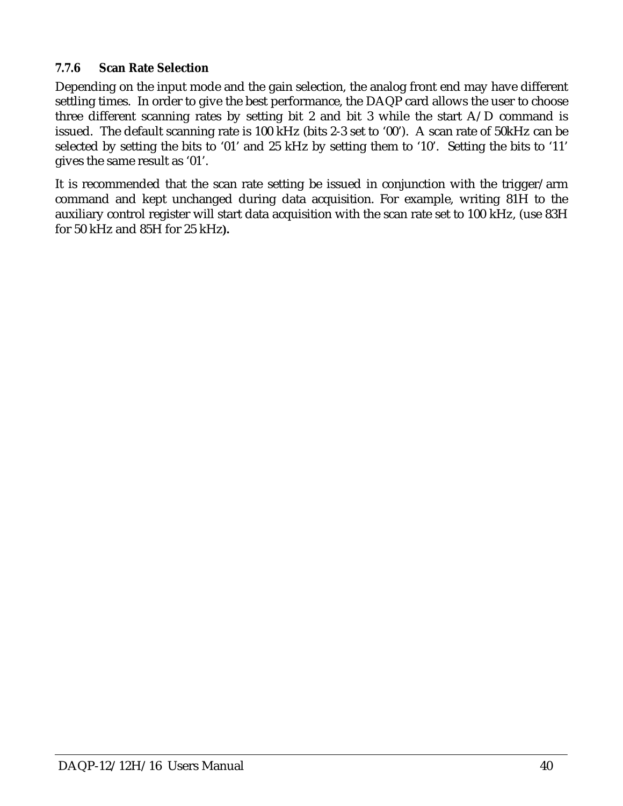#### **7.7.6 Scan Rate Selection**

Depending on the input mode and the gain selection, the analog front end may have different settling times. In order to give the best performance, the DAQP card allows the user to choose three different scanning rates by setting bit 2 and bit 3 while the start A/D command is issued. The default scanning rate is 100 kHz (bits 2-3 set to '00'). A scan rate of 50kHz can be selected by setting the bits to '01' and 25 kHz by setting them to '10'. Setting the bits to '11' gives the same result as '01'.

It is recommended that the scan rate setting be issued in conjunction with the trigger/arm command and kept unchanged during data acquisition. For example, writing 81H to the auxiliary control register will start data acquisition with the scan rate set to 100 kHz, (use 83H for 50 kHz and 85H for 25 kHz**).**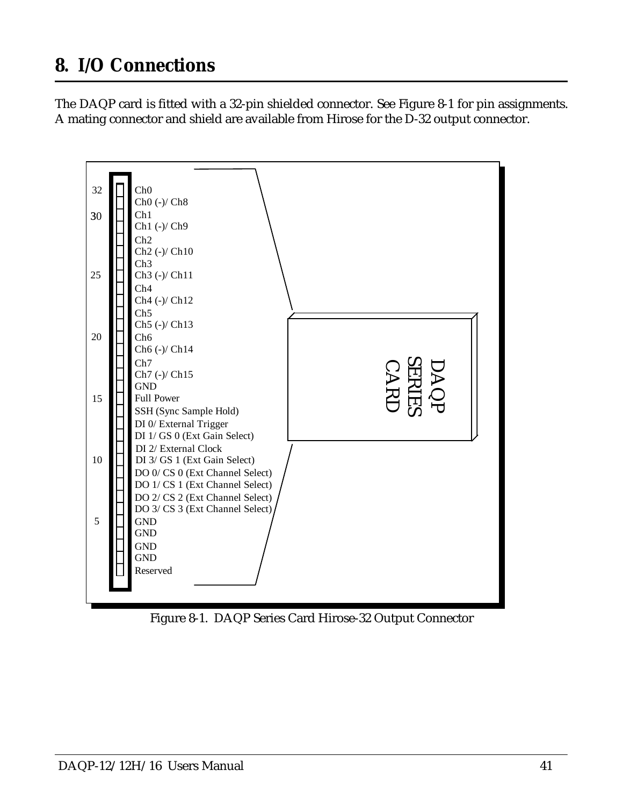# <span id="page-40-0"></span>**8. I/O Connections**

The DAQP card is fitted with a 32-pin shielded connector. See Figure 8-1 for pin assignments. A mating connector and shield are available from Hirose for the D-32 output connector.



Figure 8-1. DAQP Series Card Hirose-32 Output Connector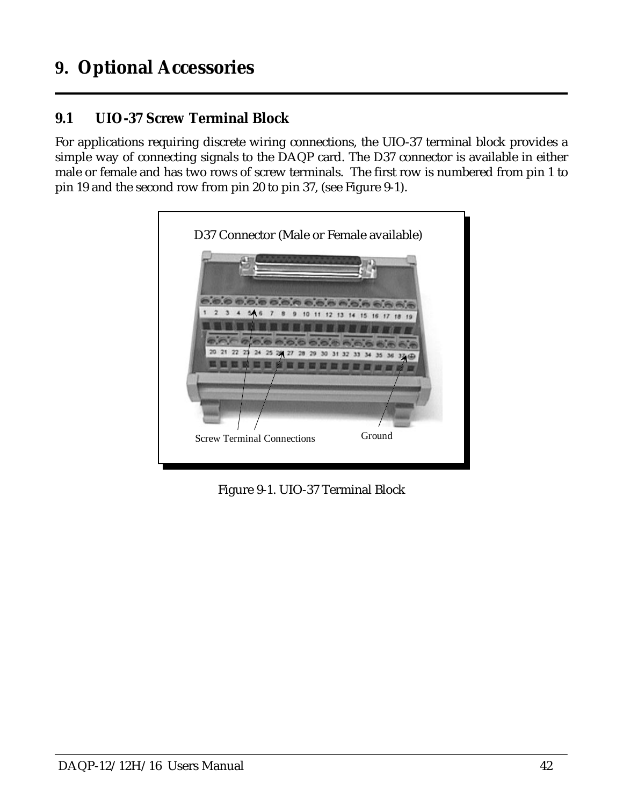# <span id="page-41-0"></span>**9. Optional Accessories**

# **9.1 UIO-37 Screw Terminal Block**

For applications requiring discrete wiring connections, the UIO-37 terminal block provides a simple way of connecting signals to the DAQP card. The D37 connector is available in either male or female and has two rows of screw terminals. The first row is numbered from pin 1 to pin 19 and the second row from pin 20 to pin 37, (see Figure 9-1).

| D37 Connector (Male or Female available)    |  |
|---------------------------------------------|--|
|                                             |  |
| 10 11 12 13 14 15 16 17 18<br>19            |  |
|                                             |  |
|                                             |  |
| Ground<br><b>Screw Terminal Connections</b> |  |

Figure 9-1. UIO-37 Terminal Block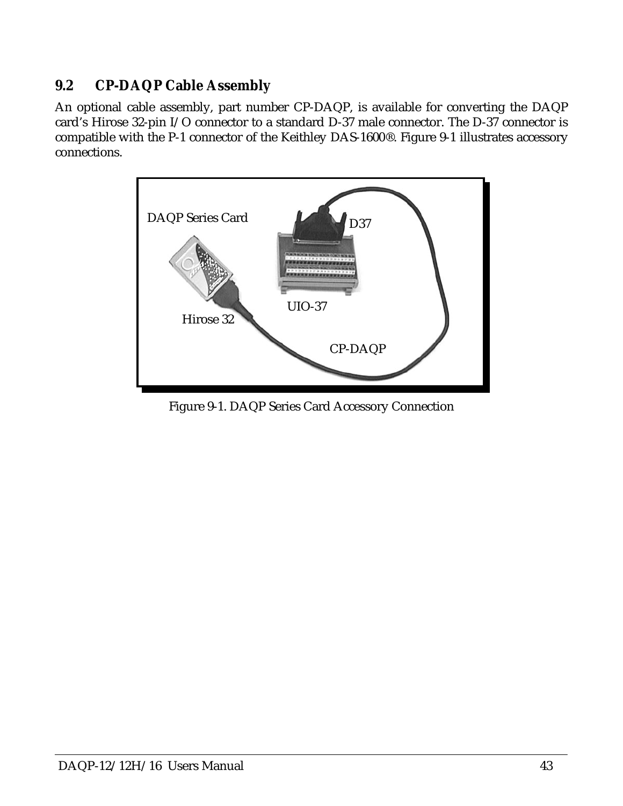# **9.2 CP-DAQP Cable Assembly**

An optional cable assembly, part number CP-DAQP, is available for converting the DAQP card's Hirose 32-pin I/O connector to a standard D-37 male connector. The D-37 connector is compatible with the P-1 connector of the Keithley DAS-1600®. Figure 9-1 illustrates accessory connections.



Figure 9-1. DAQP Series Card Accessory Connection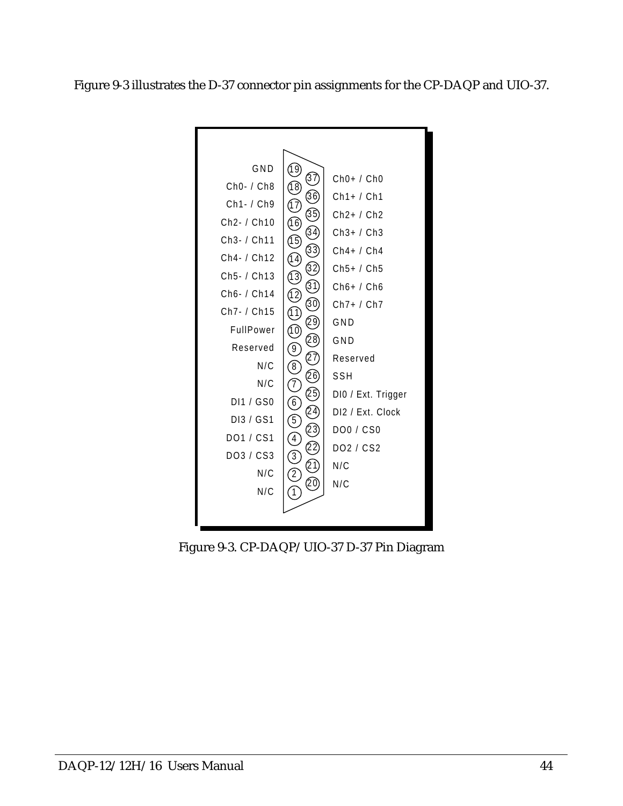Figure 9-3 illustrates the D-37 connector pin assignments for the CP-DAQP and UIO-37.



Figure 9-3. CP-DAQP/UIO-37 D-37 Pin Diagram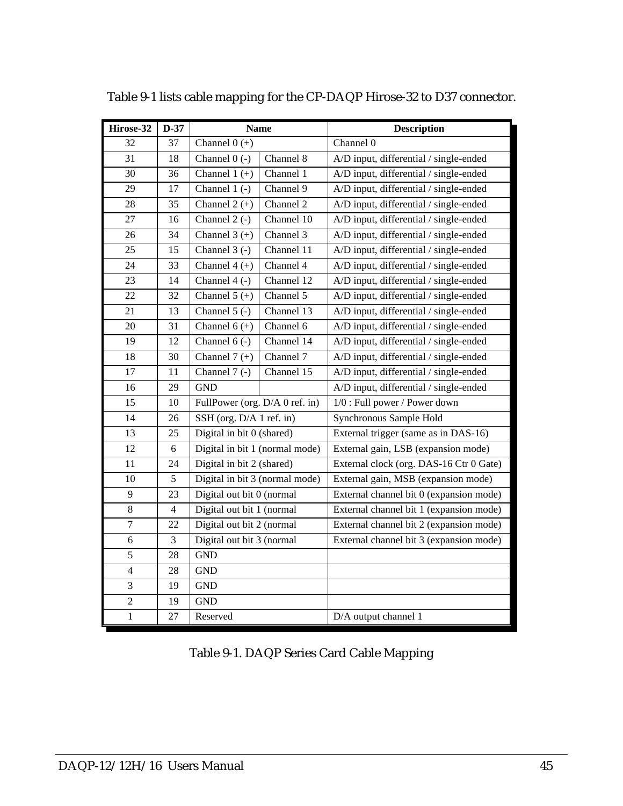| Hirose-32      | $D-37$                | <b>Name</b>                    |            | <b>Description</b>                      |  |
|----------------|-----------------------|--------------------------------|------------|-----------------------------------------|--|
| 32             | 37                    | Channel $0 (+)$                |            | Channel 0                               |  |
| 31             | 18                    | Channel $0$ (-)<br>Channel 8   |            | A/D input, differential / single-ended  |  |
| 30             | Channel $1 (+)$<br>36 |                                | Channel 1  | A/D input, differential / single-ended  |  |
| 29             | 17                    | Channel $1$ (-)                | Channel 9  | A/D input, differential / single-ended  |  |
| 28             | 35                    | Channel $2 (+)$                | Channel 2  | A/D input, differential / single-ended  |  |
| 27             | 16                    | Channel $2$ (-)                | Channel 10 | A/D input, differential / single-ended  |  |
| 26             | 34                    | Channel $3 (+)$                | Channel 3  | A/D input, differential / single-ended  |  |
| 25             | 15                    | Channel $3$ (-)                | Channel 11 | A/D input, differential / single-ended  |  |
| 24             | 33                    | Channel $4 (+)$                | Channel 4  | A/D input, differential / single-ended  |  |
| 23             | 14                    | Channel $4$ (-)                | Channel 12 | A/D input, differential / single-ended  |  |
| 22             | 32                    | Channel $5 (+)$                | Channel 5  | A/D input, differential / single-ended  |  |
| 21             | 13                    | Channel $5$ (-)                | Channel 13 | A/D input, differential / single-ended  |  |
| 20             | 31                    | Channel $6 (+)$                | Channel 6  | A/D input, differential / single-ended  |  |
| 19             | 12                    | Channel $6$ (-)                | Channel 14 | A/D input, differential / single-ended  |  |
| 18             | 30                    | Channel $7 (+)$                | Channel 7  | A/D input, differential / single-ended  |  |
| 17             | 11                    | Channel $7$ (-)                | Channel 15 | A/D input, differential / single-ended  |  |
| 16             | 29                    | <b>GND</b>                     |            | A/D input, differential / single-ended  |  |
| 15             | $10\,$                | FullPower (org. D/A 0 ref. in) |            | 1/0 : Full power / Power down           |  |
| 14             | 26                    | SSH (org. D/A 1 ref. in)       |            | Synchronous Sample Hold                 |  |
| 13             | 25                    | Digital in bit 0 (shared)      |            | External trigger (same as in DAS-16)    |  |
| 12             | $\sqrt{6}$            | Digital in bit 1 (normal mode) |            | External gain, LSB (expansion mode)     |  |
| 11             | 24                    | Digital in bit 2 (shared)      |            | External clock (org. DAS-16 Ctr 0 Gate) |  |
| 10             | 5                     | Digital in bit 3 (normal mode) |            | External gain, MSB (expansion mode)     |  |
| 9              | 23                    | Digital out bit 0 (normal      |            | External channel bit 0 (expansion mode) |  |
| 8              | $\overline{4}$        | Digital out bit 1 (normal      |            | External channel bit 1 (expansion mode) |  |
| $\overline{7}$ | 22                    | Digital out bit 2 (normal      |            | External channel bit 2 (expansion mode) |  |
| 6              | 3                     | Digital out bit 3 (normal      |            | External channel bit 3 (expansion mode) |  |
| 5              | 28                    | $\operatorname{GND}$           |            |                                         |  |
| $\overline{4}$ | 28                    | <b>GND</b>                     |            |                                         |  |
| 3              | 19                    | $\operatorname{GND}$           |            |                                         |  |
| $\overline{2}$ | 19                    | <b>GND</b>                     |            |                                         |  |
| $\mathbf{1}$   | 27                    | Reserved                       |            | D/A output channel 1                    |  |

Table 9-1 lists cable mapping for the CP-DAQP Hirose-32 to D37 connector.

Table 9-1. DAQP Series Card Cable Mapping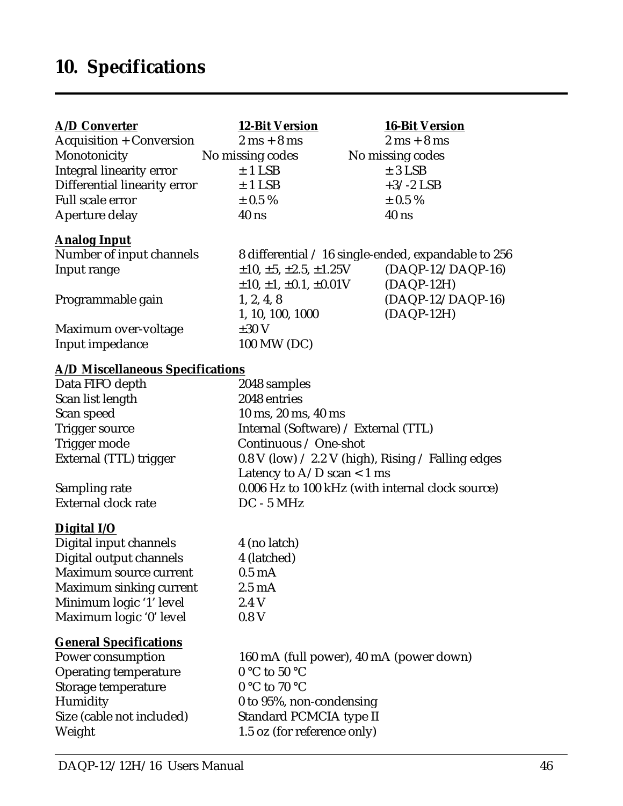<span id="page-45-0"></span>

| <b>A/D Converter</b>                    | <b>12-Bit Version</b>                                            | <b>16-Bit Version</b>                               |
|-----------------------------------------|------------------------------------------------------------------|-----------------------------------------------------|
| <b>Acquisition + Conversion</b>         | $2 \text{ ms} + 8 \text{ ms}$                                    | $2 \text{ ms} + 8 \text{ ms}$                       |
| Monotonicity                            | No missing codes                                                 | No missing codes                                    |
| <b>Integral linearity error</b>         | $± 1$ LSB                                                        | $± 3$ LSB                                           |
| Differential linearity error            | $±$ 1 LSB                                                        | $+3/-2$ LSB                                         |
| <b>Full scale error</b>                 | $\pm$ 0.5 %                                                      | $\pm$ 0.5 %                                         |
| Aperture delay                          | $40$ ns                                                          | $40$ ns                                             |
| <b>Analog Input</b>                     |                                                                  |                                                     |
| Number of input channels                |                                                                  | 8 differential / 16 single-ended, expandable to 256 |
| Input range                             | $\pm 10, \pm 5, \pm 2.5, \pm 1.25$ V                             | $(DAQP-12/DAQP-16)$                                 |
|                                         | $\pm 10, \pm 1, \pm 0.1, \pm 0.01$ V                             | $(DAQP-12H)$                                        |
| Programmable gain                       | 1, 2, 4, 8                                                       | $(DAQP-12/DAQP-16)$                                 |
|                                         | 1, 10, 100, 1000                                                 | $(DAQP-12H)$                                        |
| Maximum over-voltage                    | $\pm 30$ V                                                       |                                                     |
| Input impedance                         | 100 MW (DC)                                                      |                                                     |
| <b>A/D Miscellaneous Specifications</b> |                                                                  |                                                     |
| Data FIFO depth                         | 2048 samples                                                     |                                                     |
| Scan list length                        | 2048 entries                                                     |                                                     |
| Scan speed                              | 10 ms, 20 ms, 40 ms                                              |                                                     |
| Trigger source                          | Internal (Software) / External (TTL)                             |                                                     |
| Trigger mode                            | Continuous / One-shot                                            |                                                     |
| External (TTL) trigger                  | 0.8 V (low) $\angle$ 2.2 V (high), Rising $\angle$ Falling edges |                                                     |
|                                         | Latency to $A/D$ scan < 1 ms                                     |                                                     |
| Sampling rate                           | 0.006 Hz to 100 kHz (with internal clock source)                 |                                                     |
| <b>External clock rate</b>              | $DC - 5 MHz$                                                     |                                                     |
| <b>Digital I/O</b>                      |                                                                  |                                                     |
| Digital input channels                  | 4 (no latch)                                                     |                                                     |
| Digital output channels                 | 4 (latched)                                                      |                                                     |
| Maximum source current                  | $0.5 \text{ mA}$                                                 |                                                     |
| Maximum sinking current                 | $2.5 \text{ mA}$                                                 |                                                     |
| Minimum logic '1' level                 | 2.4 V                                                            |                                                     |
| Maximum logic '0' level                 | 0.8V                                                             |                                                     |
| <b>General Specifications</b>           |                                                                  |                                                     |
| Power consumption                       | 160 mA (full power), 40 mA (power down)                          |                                                     |
| <b>Operating temperature</b>            | $0 °C$ to 50 $°C$                                                |                                                     |
| Storage temperature                     | $0 °C$ to $70 °C$                                                |                                                     |
| Humidity                                | 0 to 95%, non-condensing                                         |                                                     |
| Size (cable not included)               | Standard PCMCIA type II                                          |                                                     |
| Weight                                  | 1.5 oz (for reference only)                                      |                                                     |
|                                         |                                                                  |                                                     |